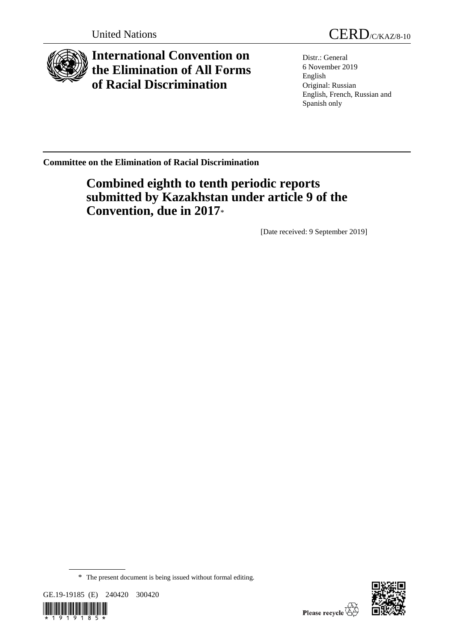

# **International Convention on the Elimination of All Forms of Racial Discrimination**

Distr.: General 6 November 2019 English Original: Russian English, French, Russian and Spanish only

**Committee on the Elimination of Racial Discrimination**

# **Combined eighth to tenth periodic reports submitted by Kazakhstan under article 9 of the Convention, due in 2017**\*

[Date received: 9 September 2019]

GE.19-19185 (E) 240420 300420





<sup>\*</sup> The present document is being issued without formal editing.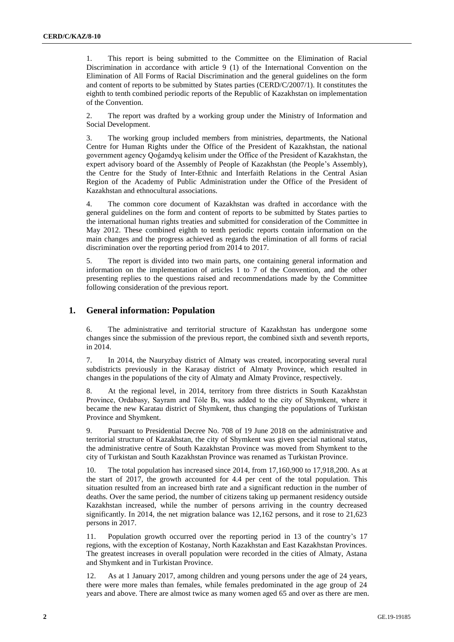1. This report is being submitted to the Committee on the Elimination of Racial Discrimination in accordance with article 9 (1) of the International Convention on the Elimination of All Forms of Racial Discrimination and the general guidelines on the form and content of reports to be submitted by States parties (CERD/C/2007/1). It constitutes the eighth to tenth combined periodic reports of the Republic of Kazakhstan on implementation of the Convention.

2. The report was drafted by a working group under the Ministry of Information and Social Development.

3. The working group included members from ministries, departments, the National Centre for Human Rights under the Office of the President of Kazakhstan, the national government agency Qoǵamdyq kelisim under the Office of the President of Kazakhstan, the expert advisory board of the Assembly of People of Kazakhstan (the People's Assembly), the Centre for the Study of Inter-Ethnic and Interfaith Relations in the Central Asian Region of the Academy of Public Administration under the Office of the President of Kazakhstan and ethnocultural associations.

4. The common core document of Kazakhstan was drafted in accordance with the general guidelines on the form and content of reports to be submitted by States parties to the international human rights treaties and submitted for consideration of the Committee in May 2012. These combined eighth to tenth periodic reports contain information on the main changes and the progress achieved as regards the elimination of all forms of racial discrimination over the reporting period from 2014 to 2017.

5. The report is divided into two main parts, one containing general information and information on the implementation of articles 1 to 7 of the Convention, and the other presenting replies to the questions raised and recommendations made by the Committee following consideration of the previous report.

# **1. General information: Population**

6. The administrative and territorial structure of Kazakhstan has undergone some changes since the submission of the previous report, the combined sixth and seventh reports, in 2014.

7. In 2014, the Nauryzbay district of Almaty was created, incorporating several rural subdistricts previously in the Karasay district of Almaty Province, which resulted in changes in the populations of the city of Almaty and Almaty Province, respectively.

8. At the regional level, in 2014, territory from three districts in South Kazakhstan Province, Ordabasy, Sayram and Tóle Bı, was added to the city of Shymkent, where it became the new Karatau district of Shymkent, thus changing the populations of Turkistan Province and Shymkent.

9. Pursuant to Presidential Decree No. 708 of 19 June 2018 on the administrative and territorial structure of Kazakhstan, the city of Shymkent was given special national status, the administrative centre of South Kazakhstan Province was moved from Shymkent to the city of Turkistan and South Kazakhstan Province was renamed as Turkistan Province.

10. The total population has increased since 2014, from 17,160,900 to 17,918,200. As at the start of 2017, the growth accounted for 4.4 per cent of the total population. This situation resulted from an increased birth rate and a significant reduction in the number of deaths. Over the same period, the number of citizens taking up permanent residency outside Kazakhstan increased, while the number of persons arriving in the country decreased significantly. In 2014, the net migration balance was 12,162 persons, and it rose to 21,623 persons in 2017.

11. Population growth occurred over the reporting period in 13 of the country's 17 regions, with the exception of Kostanay, North Kazakhstan and East Kazakhstan Provinces. The greatest increases in overall population were recorded in the cities of Almaty, Astana and Shymkent and in Turkistan Province.

12. As at 1 January 2017, among children and young persons under the age of 24 years, there were more males than females, while females predominated in the age group of 24 years and above. There are almost twice as many women aged 65 and over as there are men.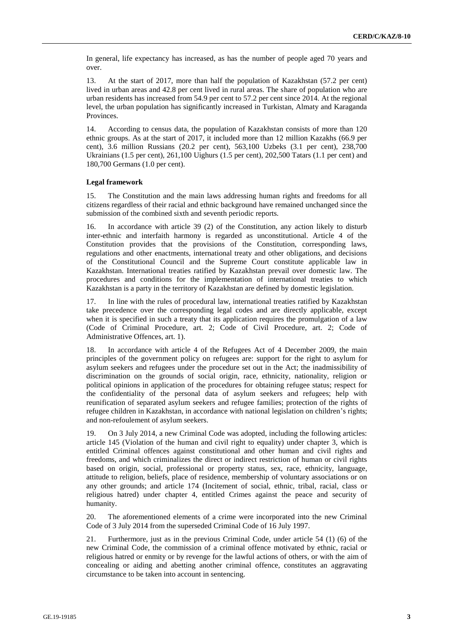In general, life expectancy has increased, as has the number of people aged 70 years and over.

13. At the start of 2017, more than half the population of Kazakhstan (57.2 per cent) lived in urban areas and 42.8 per cent lived in rural areas. The share of population who are urban residents has increased from 54.9 per cent to 57.2 per cent since 2014. At the regional level, the urban population has significantly increased in Turkistan, Almaty and Karaganda Provinces.

14. According to census data, the population of Kazakhstan consists of more than 120 ethnic groups. As at the start of 2017, it included more than 12 million Kazakhs (66.9 per cent), 3.6 million Russians (20.2 per cent), 563,100 Uzbeks (3.1 per cent), 238,700 Ukrainians (1.5 per cent), 261,100 Uighurs (1.5 per cent), 202,500 Tatars (1.1 per cent) and 180,700 Germans (1.0 per cent).

# **Legal framework**

15. The Constitution and the main laws addressing human rights and freedoms for all citizens regardless of their racial and ethnic background have remained unchanged since the submission of the combined sixth and seventh periodic reports.

16. In accordance with article 39 (2) of the Constitution, any action likely to disturb inter-ethnic and interfaith harmony is regarded as unconstitutional. Article 4 of the Constitution provides that the provisions of the Constitution, corresponding laws, regulations and other enactments, international treaty and other obligations, and decisions of the Constitutional Council and the Supreme Court constitute applicable law in Kazakhstan. International treaties ratified by Kazakhstan prevail over domestic law. The procedures and conditions for the implementation of international treaties to which Kazakhstan is a party in the territory of Kazakhstan are defined by domestic legislation.

17. In line with the rules of procedural law, international treaties ratified by Kazakhstan take precedence over the corresponding legal codes and are directly applicable, except when it is specified in such a treaty that its application requires the promulgation of a law (Code of Criminal Procedure, art. 2; Code of Civil Procedure, art. 2; Code of Administrative Offences, art. 1).

18. In accordance with article 4 of the Refugees Act of 4 December 2009, the main principles of the government policy on refugees are: support for the right to asylum for asylum seekers and refugees under the procedure set out in the Act; the inadmissibility of discrimination on the grounds of social origin, race, ethnicity, nationality, religion or political opinions in application of the procedures for obtaining refugee status; respect for the confidentiality of the personal data of asylum seekers and refugees; help with reunification of separated asylum seekers and refugee families; protection of the rights of refugee children in Kazakhstan, in accordance with national legislation on children's rights; and non-refoulement of asylum seekers.

19. On 3 July 2014, a new Criminal Code was adopted, including the following articles: article 145 (Violation of the human and civil right to equality) under chapter 3, which is entitled Criminal offences against constitutional and other human and civil rights and freedoms, and which criminalizes the direct or indirect restriction of human or civil rights based on origin, social, professional or property status, sex, race, ethnicity, language, attitude to religion, beliefs, place of residence, membership of voluntary associations or on any other grounds; and article 174 (Incitement of social, ethnic, tribal, racial, class or religious hatred) under chapter 4, entitled Crimes against the peace and security of humanity.

20. The aforementioned elements of a crime were incorporated into the new Criminal Code of 3 July 2014 from the superseded Criminal Code of 16 July 1997.

21. Furthermore, just as in the previous Criminal Code, under article 54 (1) (6) of the new Criminal Code, the commission of a criminal offence motivated by ethnic, racial or religious hatred or enmity or by revenge for the lawful actions of others, or with the aim of concealing or aiding and abetting another criminal offence, constitutes an aggravating circumstance to be taken into account in sentencing.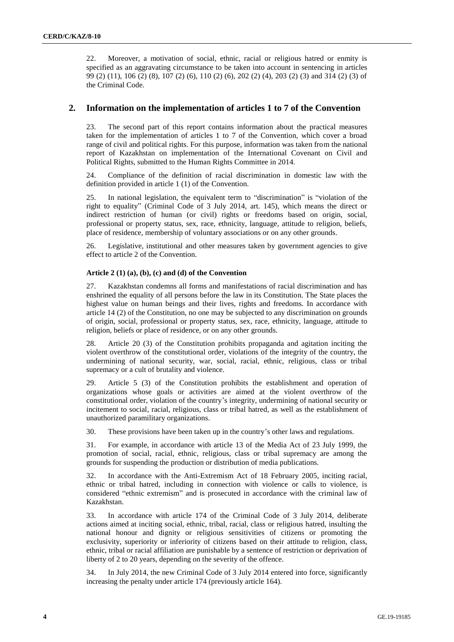22. Moreover, a motivation of social, ethnic, racial or religious hatred or enmity is specified as an aggravating circumstance to be taken into account in sentencing in articles 99 (2) (11), 106 (2) (8), 107 (2) (6), 110 (2) (6), 202 (2) (4), 203 (2) (3) and 314 (2) (3) of the Criminal Code.

# **2. Information on the implementation of articles 1 to 7 of the Convention**

23. The second part of this report contains information about the practical measures taken for the implementation of articles 1 to 7 of the Convention, which cover a broad range of civil and political rights. For this purpose, information was taken from the national report of Kazakhstan on implementation of the International Covenant on Civil and Political Rights, submitted to the Human Rights Committee in 2014.

24. Compliance of the definition of racial discrimination in domestic law with the definition provided in article 1 (1) of the Convention.

25. In national legislation, the equivalent term to "discrimination" is "violation of the right to equality" (Criminal Code of 3 July 2014, art. 145), which means the direct or indirect restriction of human (or civil) rights or freedoms based on origin, social, professional or property status, sex, race, ethnicity, language, attitude to religion, beliefs, place of residence, membership of voluntary associations or on any other grounds.

26. Legislative, institutional and other measures taken by government agencies to give effect to article 2 of the Convention.

# **Article 2 (1) (a), (b), (c) and (d) of the Convention**

27. Kazakhstan condemns all forms and manifestations of racial discrimination and has enshrined the equality of all persons before the law in its Constitution. The State places the highest value on human beings and their lives, rights and freedoms. In accordance with article 14 (2) of the Constitution, no one may be subjected to any discrimination on grounds of origin, social, professional or property status, sex, race, ethnicity, language, attitude to religion, beliefs or place of residence, or on any other grounds.

28. Article 20 (3) of the Constitution prohibits propaganda and agitation inciting the violent overthrow of the constitutional order, violations of the integrity of the country, the undermining of national security, war, social, racial, ethnic, religious, class or tribal supremacy or a cult of brutality and violence.

29. Article 5 (3) of the Constitution prohibits the establishment and operation of organizations whose goals or activities are aimed at the violent overthrow of the constitutional order, violation of the country's integrity, undermining of national security or incitement to social, racial, religious, class or tribal hatred, as well as the establishment of unauthorized paramilitary organizations.

30. These provisions have been taken up in the country's other laws and regulations.

31. For example, in accordance with article 13 of the Media Act of 23 July 1999, the promotion of social, racial, ethnic, religious, class or tribal supremacy are among the grounds for suspending the production or distribution of media publications.

32. In accordance with the Anti-Extremism Act of 18 February 2005, inciting racial, ethnic or tribal hatred, including in connection with violence or calls to violence, is considered "ethnic extremism" and is prosecuted in accordance with the criminal law of Kazakhstan.

33. In accordance with article 174 of the Criminal Code of 3 July 2014, deliberate actions aimed at inciting social, ethnic, tribal, racial, class or religious hatred, insulting the national honour and dignity or religious sensitivities of citizens or promoting the exclusivity, superiority or inferiority of citizens based on their attitude to religion, class, ethnic, tribal or racial affiliation are punishable by a sentence of restriction or deprivation of liberty of 2 to 20 years, depending on the severity of the offence.

34. In July 2014, the new Criminal Code of 3 July 2014 entered into force, significantly increasing the penalty under article 174 (previously article 164).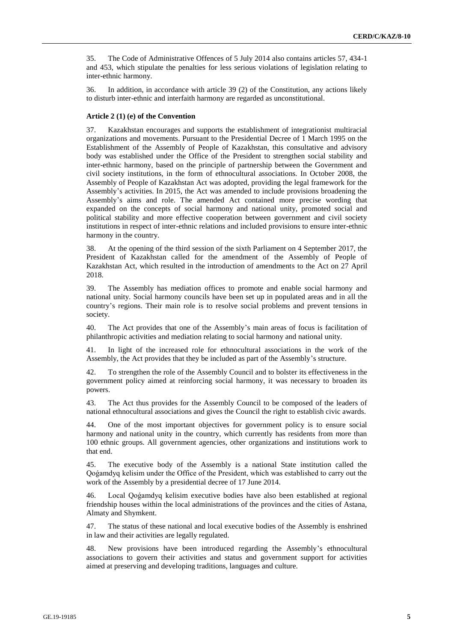35. The Code of Administrative Offences of 5 July 2014 also contains articles 57, 434-1 and 453, which stipulate the penalties for less serious violations of legislation relating to inter-ethnic harmony.

36. In addition, in accordance with article 39 (2) of the Constitution, any actions likely to disturb inter-ethnic and interfaith harmony are regarded as unconstitutional.

#### **Article 2 (1) (e) of the Convention**

37. Kazakhstan encourages and supports the establishment of integrationist multiracial organizations and movements. Pursuant to the Presidential Decree of 1 March 1995 on the Establishment of the Assembly of People of Kazakhstan, this consultative and advisory body was established under the Office of the President to strengthen social stability and inter-ethnic harmony, based on the principle of partnership between the Government and civil society institutions, in the form of ethnocultural associations. In October 2008, the Assembly of People of Kazakhstan Act was adopted, providing the legal framework for the Assembly's activities. In 2015, the Act was amended to include provisions broadening the Assembly's aims and role. The amended Act contained more precise wording that expanded on the concepts of social harmony and national unity, promoted social and political stability and more effective cooperation between government and civil society institutions in respect of inter-ethnic relations and included provisions to ensure inter-ethnic harmony in the country.

38. At the opening of the third session of the sixth Parliament on 4 September 2017, the President of Kazakhstan called for the amendment of the Assembly of People of Kazakhstan Act, which resulted in the introduction of amendments to the Act on 27 April 2018.

39. The Assembly has mediation offices to promote and enable social harmony and national unity. Social harmony councils have been set up in populated areas and in all the country's regions. Their main role is to resolve social problems and prevent tensions in society.

40. The Act provides that one of the Assembly's main areas of focus is facilitation of philanthropic activities and mediation relating to social harmony and national unity.

41. In light of the increased role for ethnocultural associations in the work of the Assembly, the Act provides that they be included as part of the Assembly's structure.

42. To strengthen the role of the Assembly Council and to bolster its effectiveness in the government policy aimed at reinforcing social harmony, it was necessary to broaden its powers.

43. The Act thus provides for the Assembly Council to be composed of the leaders of national ethnocultural associations and gives the Council the right to establish civic awards.

44. One of the most important objectives for government policy is to ensure social harmony and national unity in the country, which currently has residents from more than 100 ethnic groups. All government agencies, other organizations and institutions work to that end.

45. The executive body of the Assembly is a national State institution called the Qoǵamdyq kelisim under the Office of the President, which was established to carry out the work of the Assembly by a presidential decree of 17 June 2014.

46. Local Qoǵamdyq kelisim executive bodies have also been established at regional friendship houses within the local administrations of the provinces and the cities of Astana, Almaty and Shymkent.

47. The status of these national and local executive bodies of the Assembly is enshrined in law and their activities are legally regulated.

48. New provisions have been introduced regarding the Assembly's ethnocultural associations to govern their activities and status and government support for activities aimed at preserving and developing traditions, languages and culture.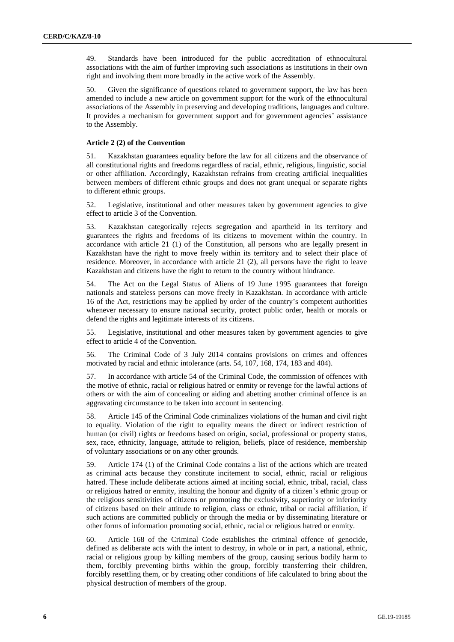49. Standards have been introduced for the public accreditation of ethnocultural associations with the aim of further improving such associations as institutions in their own right and involving them more broadly in the active work of the Assembly.

50. Given the significance of questions related to government support, the law has been amended to include a new article on government support for the work of the ethnocultural associations of the Assembly in preserving and developing traditions, languages and culture. It provides a mechanism for government support and for government agencies' assistance to the Assembly.

## **Article 2 (2) of the Convention**

51. Kazakhstan guarantees equality before the law for all citizens and the observance of all constitutional rights and freedoms regardless of racial, ethnic, religious, linguistic, social or other affiliation. Accordingly, Kazakhstan refrains from creating artificial inequalities between members of different ethnic groups and does not grant unequal or separate rights to different ethnic groups.

52. Legislative, institutional and other measures taken by government agencies to give effect to article 3 of the Convention.

53. Kazakhstan categorically rejects segregation and apartheid in its territory and guarantees the rights and freedoms of its citizens to movement within the country. In accordance with article 21 (1) of the Constitution, all persons who are legally present in Kazakhstan have the right to move freely within its territory and to select their place of residence. Moreover, in accordance with article 21 (2), all persons have the right to leave Kazakhstan and citizens have the right to return to the country without hindrance.

54. The Act on the Legal Status of Aliens of 19 June 1995 guarantees that foreign nationals and stateless persons can move freely in Kazakhstan. In accordance with article 16 of the Act, restrictions may be applied by order of the country's competent authorities whenever necessary to ensure national security, protect public order, health or morals or defend the rights and legitimate interests of its citizens.

55. Legislative, institutional and other measures taken by government agencies to give effect to article 4 of the Convention.

56. The Criminal Code of 3 July 2014 contains provisions on crimes and offences motivated by racial and ethnic intolerance (arts. 54, 107, 168, 174, 183 and 404).

57. In accordance with article 54 of the Criminal Code, the commission of offences with the motive of ethnic, racial or religious hatred or enmity or revenge for the lawful actions of others or with the aim of concealing or aiding and abetting another criminal offence is an aggravating circumstance to be taken into account in sentencing.

58. Article 145 of the Criminal Code criminalizes violations of the human and civil right to equality. Violation of the right to equality means the direct or indirect restriction of human (or civil) rights or freedoms based on origin, social, professional or property status, sex, race, ethnicity, language, attitude to religion, beliefs, place of residence, membership of voluntary associations or on any other grounds.

59. Article 174 (1) of the Criminal Code contains a list of the actions which are treated as criminal acts because they constitute incitement to social, ethnic, racial or religious hatred. These include deliberate actions aimed at inciting social, ethnic, tribal, racial, class or religious hatred or enmity, insulting the honour and dignity of a citizen's ethnic group or the religious sensitivities of citizens or promoting the exclusivity, superiority or inferiority of citizens based on their attitude to religion, class or ethnic, tribal or racial affiliation, if such actions are committed publicly or through the media or by disseminating literature or other forms of information promoting social, ethnic, racial or religious hatred or enmity.

60. Article 168 of the Criminal Code establishes the criminal offence of genocide, defined as deliberate acts with the intent to destroy, in whole or in part, a national, ethnic, racial or religious group by killing members of the group, causing serious bodily harm to them, forcibly preventing births within the group, forcibly transferring their children, forcibly resettling them, or by creating other conditions of life calculated to bring about the physical destruction of members of the group.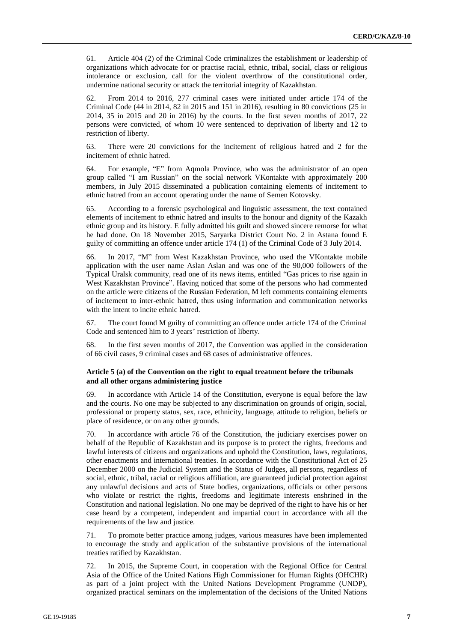61. Article 404 (2) of the Criminal Code criminalizes the establishment or leadership of organizations which advocate for or practise racial, ethnic, tribal, social, class or religious intolerance or exclusion, call for the violent overthrow of the constitutional order, undermine national security or attack the territorial integrity of Kazakhstan.

62. From 2014 to 2016, 277 criminal cases were initiated under article 174 of the Criminal Code (44 in 2014, 82 in 2015 and 151 in 2016), resulting in 80 convictions (25 in 2014, 35 in 2015 and 20 in 2016) by the courts. In the first seven months of 2017, 22 persons were convicted, of whom 10 were sentenced to deprivation of liberty and 12 to restriction of liberty.

63. There were 20 convictions for the incitement of religious hatred and 2 for the incitement of ethnic hatred.

64. For example, "E" from Aqmola Province, who was the administrator of an open group called "I am Russian" on the social network VKontakte with approximately 200 members, in July 2015 disseminated a publication containing elements of incitement to ethnic hatred from an account operating under the name of Semen Kotovsky.

65. According to a forensic psychological and linguistic assessment, the text contained elements of incitement to ethnic hatred and insults to the honour and dignity of the Kazakh ethnic group and its history. E fully admitted his guilt and showed sincere remorse for what he had done. On 18 November 2015, Saryarka District Court No. 2 in Astana found E guilty of committing an offence under article 174 (1) of the Criminal Code of 3 July 2014.

66. In 2017, "M" from West Kazakhstan Province, who used the VKontakte mobile application with the user name Aslan Aslan and was one of the 90,000 followers of the Typical Uralsk community, read one of its news items, entitled "Gas prices to rise again in West Kazakhstan Province". Having noticed that some of the persons who had commented on the article were citizens of the Russian Federation, M left comments containing elements of incitement to inter-ethnic hatred, thus using information and communication networks with the intent to incite ethnic hatred.

67. The court found M guilty of committing an offence under article 174 of the Criminal Code and sentenced him to 3 years' restriction of liberty.

68. In the first seven months of 2017, the Convention was applied in the consideration of 66 civil cases, 9 criminal cases and 68 cases of administrative offences.

# **Article 5 (a) of the Convention on the right to equal treatment before the tribunals and all other organs administering justice**

69. In accordance with Article 14 of the Constitution, everyone is equal before the law and the courts. No one may be subjected to any discrimination on grounds of origin, social, professional or property status, sex, race, ethnicity, language, attitude to religion, beliefs or place of residence, or on any other grounds.

70. In accordance with article 76 of the Constitution, the judiciary exercises power on behalf of the Republic of Kazakhstan and its purpose is to protect the rights, freedoms and lawful interests of citizens and organizations and uphold the Constitution, laws, regulations, other enactments and international treaties. In accordance with the Constitutional Act of 25 December 2000 on the Judicial System and the Status of Judges, all persons, regardless of social, ethnic, tribal, racial or religious affiliation, are guaranteed judicial protection against any unlawful decisions and acts of State bodies, organizations, officials or other persons who violate or restrict the rights, freedoms and legitimate interests enshrined in the Constitution and national legislation. No one may be deprived of the right to have his or her case heard by a competent, independent and impartial court in accordance with all the requirements of the law and justice.

71. To promote better practice among judges, various measures have been implemented to encourage the study and application of the substantive provisions of the international treaties ratified by Kazakhstan.

72. In 2015, the Supreme Court, in cooperation with the Regional Office for Central Asia of the Office of the United Nations High Commissioner for Human Rights (OHCHR) as part of a joint project with the United Nations Development Programme (UNDP), organized practical seminars on the implementation of the decisions of the United Nations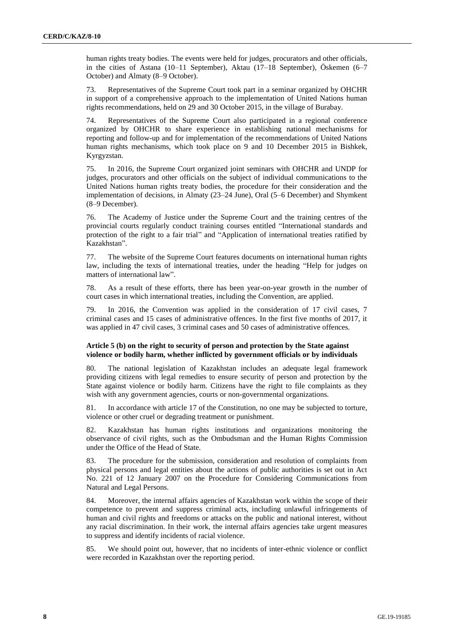human rights treaty bodies. The events were held for judges, procurators and other officials, in the cities of Astana (10–11 September), Aktau (17–18 September), Öskemen (6–7 October) and Almaty (8–9 October).

73. Representatives of the Supreme Court took part in a seminar organized by OHCHR in support of a comprehensive approach to the implementation of United Nations human rights recommendations, held on 29 and 30 October 2015, in the village of Burabay.

74. Representatives of the Supreme Court also participated in a regional conference organized by OHCHR to share experience in establishing national mechanisms for reporting and follow-up and for implementation of the recommendations of United Nations human rights mechanisms, which took place on 9 and 10 December 2015 in Bishkek, Kyrgyzstan.

75. In 2016, the Supreme Court organized joint seminars with OHCHR and UNDP for judges, procurators and other officials on the subject of individual communications to the United Nations human rights treaty bodies, the procedure for their consideration and the implementation of decisions, in Almaty (23–24 June), Oral (5–6 December) and Shymkent (8–9 December).

76. The Academy of Justice under the Supreme Court and the training centres of the provincial courts regularly conduct training courses entitled "International standards and protection of the right to a fair trial" and "Application of international treaties ratified by Kazakhstan".

77. The website of the Supreme Court features documents on international human rights law, including the texts of international treaties, under the heading "Help for judges on matters of international law".

78. As a result of these efforts, there has been year-on-year growth in the number of court cases in which international treaties, including the Convention, are applied.

79. In 2016, the Convention was applied in the consideration of 17 civil cases, 7 criminal cases and 15 cases of administrative offences. In the first five months of 2017, it was applied in 47 civil cases, 3 criminal cases and 50 cases of administrative offences.

# **Article 5 (b) on the right to security of person and protection by the State against violence or bodily harm, whether inflicted by government officials or by individuals**

80. The national legislation of Kazakhstan includes an adequate legal framework providing citizens with legal remedies to ensure security of person and protection by the State against violence or bodily harm. Citizens have the right to file complaints as they wish with any government agencies, courts or non-governmental organizations.

81. In accordance with article 17 of the Constitution, no one may be subjected to torture, violence or other cruel or degrading treatment or punishment.

82. Kazakhstan has human rights institutions and organizations monitoring the observance of civil rights, such as the Ombudsman and the Human Rights Commission under the Office of the Head of State.

83. The procedure for the submission, consideration and resolution of complaints from physical persons and legal entities about the actions of public authorities is set out in Act No. 221 of 12 January 2007 on the Procedure for Considering Communications from Natural and Legal Persons.

84. Moreover, the internal affairs agencies of Kazakhstan work within the scope of their competence to prevent and suppress criminal acts, including unlawful infringements of human and civil rights and freedoms or attacks on the public and national interest, without any racial discrimination. In their work, the internal affairs agencies take urgent measures to suppress and identify incidents of racial violence.

85. We should point out, however, that no incidents of inter-ethnic violence or conflict were recorded in Kazakhstan over the reporting period.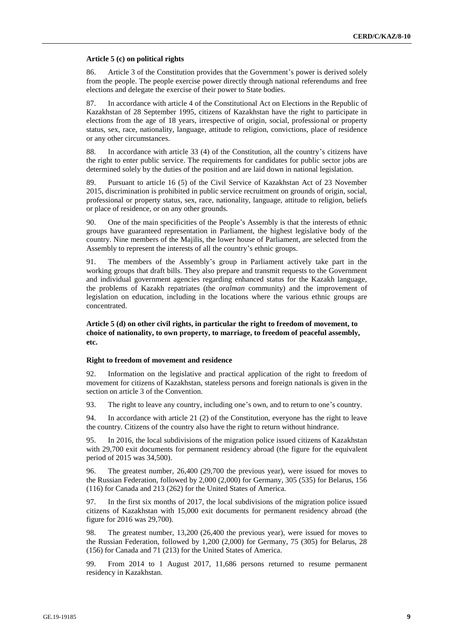#### **Article 5 (c) on political rights**

86. Article 3 of the Constitution provides that the Government's power is derived solely from the people. The people exercise power directly through national referendums and free elections and delegate the exercise of their power to State bodies.

87. In accordance with article 4 of the Constitutional Act on Elections in the Republic of Kazakhstan of 28 September 1995, citizens of Kazakhstan have the right to participate in elections from the age of 18 years, irrespective of origin, social, professional or property status, sex, race, nationality, language, attitude to religion, convictions, place of residence or any other circumstances.

88. In accordance with article 33 (4) of the Constitution, all the country's citizens have the right to enter public service. The requirements for candidates for public sector jobs are determined solely by the duties of the position and are laid down in national legislation.

89. Pursuant to article 16 (5) of the Civil Service of Kazakhstan Act of 23 November 2015, discrimination is prohibited in public service recruitment on grounds of origin, social, professional or property status, sex, race, nationality, language, attitude to religion, beliefs or place of residence, or on any other grounds.

90. One of the main specificities of the People's Assembly is that the interests of ethnic groups have guaranteed representation in Parliament, the highest legislative body of the country. Nine members of the Majilis, the lower house of Parliament, are selected from the Assembly to represent the interests of all the country's ethnic groups.

91. The members of the Assembly's group in Parliament actively take part in the working groups that draft bills. They also prepare and transmit requests to the Government and individual government agencies regarding enhanced status for the Kazakh language, the problems of Kazakh repatriates (the *oralman* community) and the improvement of legislation on education, including in the locations where the various ethnic groups are concentrated.

# **Article 5 (d) on other civil rights, in particular the right to freedom of movement, to choice of nationality, to own property, to marriage, to freedom of peaceful assembly, etc.**

#### **Right to freedom of movement and residence**

92. Information on the legislative and practical application of the right to freedom of movement for citizens of Kazakhstan, stateless persons and foreign nationals is given in the section on article 3 of the Convention.

93. The right to leave any country, including one's own, and to return to one's country.

94. In accordance with article 21 (2) of the Constitution, everyone has the right to leave the country. Citizens of the country also have the right to return without hindrance.

95. In 2016, the local subdivisions of the migration police issued citizens of Kazakhstan with 29,700 exit documents for permanent residency abroad (the figure for the equivalent period of 2015 was 34,500).

96. The greatest number, 26,400 (29,700 the previous year), were issued for moves to the Russian Federation, followed by 2,000 (2,000) for Germany, 305 (535) for Belarus, 156 (116) for Canada and 213 (262) for the United States of America.

97. In the first six months of 2017, the local subdivisions of the migration police issued citizens of Kazakhstan with 15,000 exit documents for permanent residency abroad (the figure for 2016 was 29,700).

98. The greatest number, 13,200 (26,400 the previous year), were issued for moves to the Russian Federation, followed by 1,200 (2,000) for Germany, 75 (305) for Belarus, 28 (156) for Canada and 71 (213) for the United States of America.

99. From 2014 to 1 August 2017, 11,686 persons returned to resume permanent residency in Kazakhstan.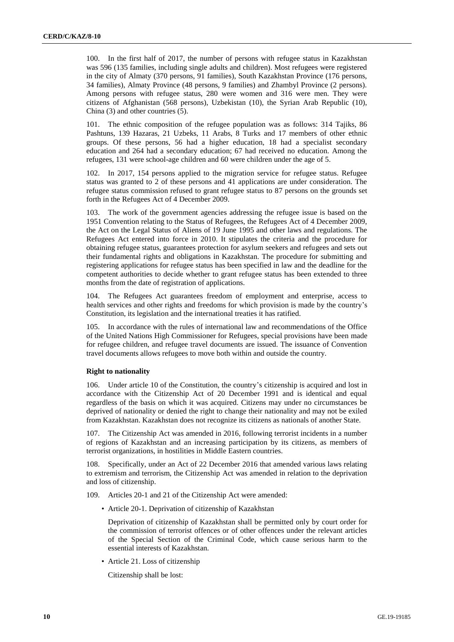100. In the first half of 2017, the number of persons with refugee status in Kazakhstan was 596 (135 families, including single adults and children). Most refugees were registered in the city of Almaty (370 persons, 91 families), South Kazakhstan Province (176 persons, 34 families), Almaty Province (48 persons, 9 families) and Zhambyl Province (2 persons). Among persons with refugee status, 280 were women and 316 were men. They were citizens of Afghanistan (568 persons), Uzbekistan (10), the Syrian Arab Republic (10), China (3) and other countries (5).

101. The ethnic composition of the refugee population was as follows: 314 Tajiks, 86 Pashtuns, 139 Hazaras, 21 Uzbeks, 11 Arabs, 8 Turks and 17 members of other ethnic groups. Of these persons, 56 had a higher education, 18 had a specialist secondary education and 264 had a secondary education; 67 had received no education. Among the refugees, 131 were school-age children and 60 were children under the age of 5.

102. In 2017, 154 persons applied to the migration service for refugee status. Refugee status was granted to 2 of these persons and 41 applications are under consideration. The refugee status commission refused to grant refugee status to 87 persons on the grounds set forth in the Refugees Act of 4 December 2009.

103. The work of the government agencies addressing the refugee issue is based on the 1951 Convention relating to the Status of Refugees, the Refugees Act of 4 December 2009, the Act on the Legal Status of Aliens of 19 June 1995 and other laws and regulations. The Refugees Act entered into force in 2010. It stipulates the criteria and the procedure for obtaining refugee status, guarantees protection for asylum seekers and refugees and sets out their fundamental rights and obligations in Kazakhstan. The procedure for submitting and registering applications for refugee status has been specified in law and the deadline for the competent authorities to decide whether to grant refugee status has been extended to three months from the date of registration of applications.

104. The Refugees Act guarantees freedom of employment and enterprise, access to health services and other rights and freedoms for which provision is made by the country's Constitution, its legislation and the international treaties it has ratified.

105. In accordance with the rules of international law and recommendations of the Office of the United Nations High Commissioner for Refugees, special provisions have been made for refugee children, and refugee travel documents are issued. The issuance of Convention travel documents allows refugees to move both within and outside the country.

#### **Right to nationality**

106. Under article 10 of the Constitution, the country's citizenship is acquired and lost in accordance with the Citizenship Act of 20 December 1991 and is identical and equal regardless of the basis on which it was acquired. Citizens may under no circumstances be deprived of nationality or denied the right to change their nationality and may not be exiled from Kazakhstan. Kazakhstan does not recognize its citizens as nationals of another State.

107. The Citizenship Act was amended in 2016, following terrorist incidents in a number of regions of Kazakhstan and an increasing participation by its citizens, as members of terrorist organizations, in hostilities in Middle Eastern countries.

108. Specifically, under an Act of 22 December 2016 that amended various laws relating to extremism and terrorism, the Citizenship Act was amended in relation to the deprivation and loss of citizenship.

109. Articles 20-1 and 21 of the Citizenship Act were amended:

• Article 20-1. Deprivation of citizenship of Kazakhstan

Deprivation of citizenship of Kazakhstan shall be permitted only by court order for the commission of terrorist offences or of other offences under the relevant articles of the Special Section of the Criminal Code, which cause serious harm to the essential interests of Kazakhstan.

• Article 21. Loss of citizenship

Citizenship shall be lost: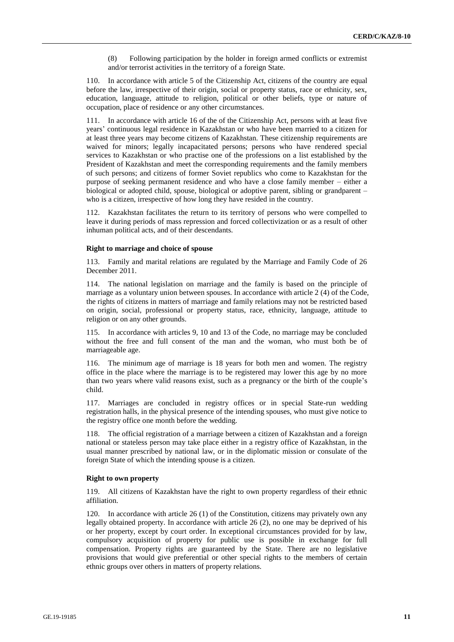(8) Following participation by the holder in foreign armed conflicts or extremist and/or terrorist activities in the territory of a foreign State.

110. In accordance with article 5 of the Citizenship Act, citizens of the country are equal before the law, irrespective of their origin, social or property status, race or ethnicity, sex, education, language, attitude to religion, political or other beliefs, type or nature of occupation, place of residence or any other circumstances.

111. In accordance with article 16 of the of the Citizenship Act, persons with at least five years' continuous legal residence in Kazakhstan or who have been married to a citizen for at least three years may become citizens of Kazakhstan. These citizenship requirements are waived for minors; legally incapacitated persons; persons who have rendered special services to Kazakhstan or who practise one of the professions on a list established by the President of Kazakhstan and meet the corresponding requirements and the family members of such persons; and citizens of former Soviet republics who come to Kazakhstan for the purpose of seeking permanent residence and who have a close family member – either a biological or adopted child, spouse, biological or adoptive parent, sibling or grandparent – who is a citizen, irrespective of how long they have resided in the country.

112. Kazakhstan facilitates the return to its territory of persons who were compelled to leave it during periods of mass repression and forced collectivization or as a result of other inhuman political acts, and of their descendants.

## **Right to marriage and choice of spouse**

113. Family and marital relations are regulated by the Marriage and Family Code of 26 December 2011.

114. The national legislation on marriage and the family is based on the principle of marriage as a voluntary union between spouses. In accordance with article 2 (4) of the Code, the rights of citizens in matters of marriage and family relations may not be restricted based on origin, social, professional or property status, race, ethnicity, language, attitude to religion or on any other grounds.

115. In accordance with articles 9, 10 and 13 of the Code, no marriage may be concluded without the free and full consent of the man and the woman, who must both be of marriageable age.

116. The minimum age of marriage is 18 years for both men and women. The registry office in the place where the marriage is to be registered may lower this age by no more than two years where valid reasons exist, such as a pregnancy or the birth of the couple's child.

117. Marriages are concluded in registry offices or in special State-run wedding registration halls, in the physical presence of the intending spouses, who must give notice to the registry office one month before the wedding.

118. The official registration of a marriage between a citizen of Kazakhstan and a foreign national or stateless person may take place either in a registry office of Kazakhstan, in the usual manner prescribed by national law, or in the diplomatic mission or consulate of the foreign State of which the intending spouse is a citizen.

#### **Right to own property**

119. All citizens of Kazakhstan have the right to own property regardless of their ethnic affiliation.

120. In accordance with article 26 (1) of the Constitution, citizens may privately own any legally obtained property. In accordance with article 26 (2), no one may be deprived of his or her property, except by court order. In exceptional circumstances provided for by law, compulsory acquisition of property for public use is possible in exchange for full compensation. Property rights are guaranteed by the State. There are no legislative provisions that would give preferential or other special rights to the members of certain ethnic groups over others in matters of property relations.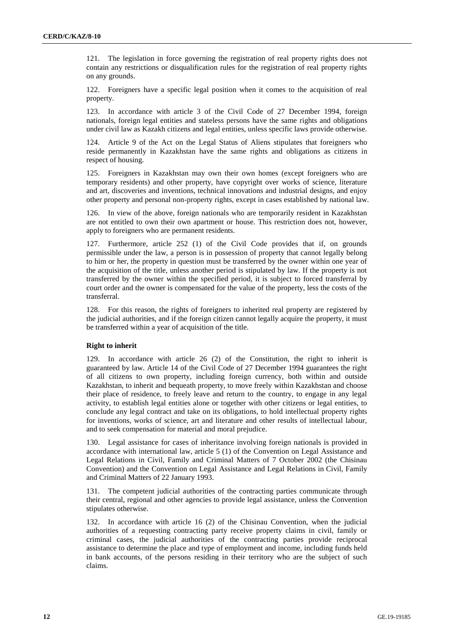121. The legislation in force governing the registration of real property rights does not contain any restrictions or disqualification rules for the registration of real property rights on any grounds.

122. Foreigners have a specific legal position when it comes to the acquisition of real property.

123. In accordance with article 3 of the Civil Code of 27 December 1994, foreign nationals, foreign legal entities and stateless persons have the same rights and obligations under civil law as Kazakh citizens and legal entities, unless specific laws provide otherwise.

124. Article 9 of the Act on the Legal Status of Aliens stipulates that foreigners who reside permanently in Kazakhstan have the same rights and obligations as citizens in respect of housing.

125. Foreigners in Kazakhstan may own their own homes (except foreigners who are temporary residents) and other property, have copyright over works of science, literature and art, discoveries and inventions, technical innovations and industrial designs, and enjoy other property and personal non-property rights, except in cases established by national law.

126. In view of the above, foreign nationals who are temporarily resident in Kazakhstan are not entitled to own their own apartment or house. This restriction does not, however, apply to foreigners who are permanent residents.

127. Furthermore, article 252 (1) of the Civil Code provides that if, on grounds permissible under the law, a person is in possession of property that cannot legally belong to him or her, the property in question must be transferred by the owner within one year of the acquisition of the title, unless another period is stipulated by law. If the property is not transferred by the owner within the specified period, it is subject to forced transferral by court order and the owner is compensated for the value of the property, less the costs of the transferral.

128. For this reason, the rights of foreigners to inherited real property are registered by the judicial authorities, and if the foreign citizen cannot legally acquire the property, it must be transferred within a year of acquisition of the title.

#### **Right to inherit**

129. In accordance with article 26 (2) of the Constitution, the right to inherit is guaranteed by law. Article 14 of the Civil Code of 27 December 1994 guarantees the right of all citizens to own property, including foreign currency, both within and outside Kazakhstan, to inherit and bequeath property, to move freely within Kazakhstan and choose their place of residence, to freely leave and return to the country, to engage in any legal activity, to establish legal entities alone or together with other citizens or legal entities, to conclude any legal contract and take on its obligations, to hold intellectual property rights for inventions, works of science, art and literature and other results of intellectual labour, and to seek compensation for material and moral prejudice.

130. Legal assistance for cases of inheritance involving foreign nationals is provided in accordance with international law, article 5 (1) of the Convention on Legal Assistance and Legal Relations in Civil, Family and Criminal Matters of 7 October 2002 (the Chisinau Convention) and the Convention on Legal Assistance and Legal Relations in Civil, Family and Criminal Matters of 22 January 1993.

131. The competent judicial authorities of the contracting parties communicate through their central, regional and other agencies to provide legal assistance, unless the Convention stipulates otherwise.

132. In accordance with article 16 (2) of the Chisinau Convention, when the judicial authorities of a requesting contracting party receive property claims in civil, family or criminal cases, the judicial authorities of the contracting parties provide reciprocal assistance to determine the place and type of employment and income, including funds held in bank accounts, of the persons residing in their territory who are the subject of such claims.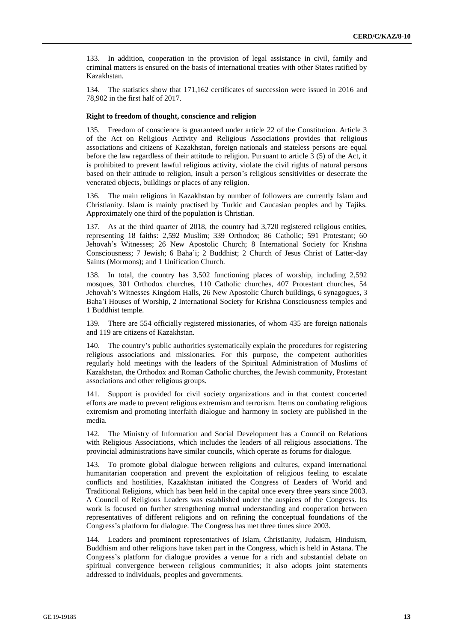133. In addition, cooperation in the provision of legal assistance in civil, family and criminal matters is ensured on the basis of international treaties with other States ratified by Kazakhstan.

134. The statistics show that 171,162 certificates of succession were issued in 2016 and 78,902 in the first half of 2017.

### **Right to freedom of thought, conscience and religion**

135. Freedom of conscience is guaranteed under article 22 of the Constitution. Article 3 of the Act on Religious Activity and Religious Associations provides that religious associations and citizens of Kazakhstan, foreign nationals and stateless persons are equal before the law regardless of their attitude to religion. Pursuant to article 3 (5) of the Act, it is prohibited to prevent lawful religious activity, violate the civil rights of natural persons based on their attitude to religion, insult a person's religious sensitivities or desecrate the venerated objects, buildings or places of any religion.

136. The main religions in Kazakhstan by number of followers are currently Islam and Christianity. Islam is mainly practised by Turkic and Caucasian peoples and by Tajiks. Approximately one third of the population is Christian.

137. As at the third quarter of 2018, the country had 3,720 registered religious entities, representing 18 faiths: 2,592 Muslim; 339 Orthodox; 86 Catholic; 591 Protestant; 60 Jehovah's Witnesses; 26 New Apostolic Church; 8 International Society for Krishna Consciousness; 7 Jewish; 6 Baha'i; 2 Buddhist; 2 Church of Jesus Christ of Latter-day Saints (Mormons); and 1 Unification Church.

138. In total, the country has 3,502 functioning places of worship, including 2,592 mosques, 301 Orthodox churches, 110 Catholic churches, 407 Protestant churches, 54 Jehovah's Witnesses Kingdom Halls, 26 New Apostolic Church buildings, 6 synagogues, 3 Baha'i Houses of Worship, 2 International Society for Krishna Consciousness temples and 1 Buddhist temple.

139. There are 554 officially registered missionaries, of whom 435 are foreign nationals and 119 are citizens of Kazakhstan.

140. The country's public authorities systematically explain the procedures for registering religious associations and missionaries. For this purpose, the competent authorities regularly hold meetings with the leaders of the Spiritual Administration of Muslims of Kazakhstan, the Orthodox and Roman Catholic churches, the Jewish community, Protestant associations and other religious groups.

141. Support is provided for civil society organizations and in that context concerted efforts are made to prevent religious extremism and terrorism. Items on combating religious extremism and promoting interfaith dialogue and harmony in society are published in the media.

142. The Ministry of Information and Social Development has a Council on Relations with Religious Associations, which includes the leaders of all religious associations. The provincial administrations have similar councils, which operate as forums for dialogue.

143. To promote global dialogue between religions and cultures, expand international humanitarian cooperation and prevent the exploitation of religious feeling to escalate conflicts and hostilities, Kazakhstan initiated the Congress of Leaders of World and Traditional Religions, which has been held in the capital once every three years since 2003. A Council of Religious Leaders was established under the auspices of the Congress. Its work is focused on further strengthening mutual understanding and cooperation between representatives of different religions and on refining the conceptual foundations of the Congress's platform for dialogue. The Congress has met three times since 2003.

144. Leaders and prominent representatives of Islam, Christianity, Judaism, Hinduism, Buddhism and other religions have taken part in the Congress, which is held in Astana. The Congress's platform for dialogue provides a venue for a rich and substantial debate on spiritual convergence between religious communities; it also adopts joint statements addressed to individuals, peoples and governments.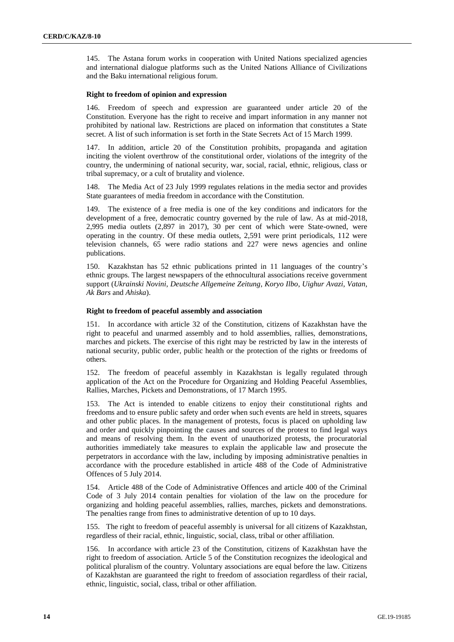145. The Astana forum works in cooperation with United Nations specialized agencies and international dialogue platforms such as the United Nations Alliance of Civilizations and the Baku international religious forum.

#### **Right to freedom of opinion and expression**

146. Freedom of speech and expression are guaranteed under article 20 of the Constitution. Everyone has the right to receive and impart information in any manner not prohibited by national law. Restrictions are placed on information that constitutes a State secret. A list of such information is set forth in the State Secrets Act of 15 March 1999.

147. In addition, article 20 of the Constitution prohibits, propaganda and agitation inciting the violent overthrow of the constitutional order, violations of the integrity of the country, the undermining of national security, war, social, racial, ethnic, religious, class or tribal supremacy, or a cult of brutality and violence.

148. The Media Act of 23 July 1999 regulates relations in the media sector and provides State guarantees of media freedom in accordance with the Constitution.

149. The existence of a free media is one of the key conditions and indicators for the development of a free, democratic country governed by the rule of law. As at mid-2018, 2,995 media outlets (2,897 in 2017), 30 per cent of which were State-owned, were operating in the country. Of these media outlets, 2,591 were print periodicals, 112 were television channels, 65 were radio stations and 227 were news agencies and online publications.

150. Kazakhstan has 52 ethnic publications printed in 11 languages of the country's ethnic groups. The largest newspapers of the ethnocultural associations receive government support (*Ukrainski Novini*, *Deutsche Allgemeine Zeitung*, *Koryo Ilbo*, *Uighur Avazi*, *Vatan*, *Ak Bars* and *Ahiska*).

#### **Right to freedom of peaceful assembly and association**

151. In accordance with article 32 of the Constitution, citizens of Kazakhstan have the right to peaceful and unarmed assembly and to hold assemblies, rallies, demonstrations, marches and pickets. The exercise of this right may be restricted by law in the interests of national security, public order, public health or the protection of the rights or freedoms of others.

152. The freedom of peaceful assembly in Kazakhstan is legally regulated through application of the Act on the Procedure for Organizing and Holding Peaceful Assemblies, Rallies, Marches, Pickets and Demonstrations, of 17 March 1995.

153. The Act is intended to enable citizens to enjoy their constitutional rights and freedoms and to ensure public safety and order when such events are held in streets, squares and other public places. In the management of protests, focus is placed on upholding law and order and quickly pinpointing the causes and sources of the protest to find legal ways and means of resolving them. In the event of unauthorized protests, the procuratorial authorities immediately take measures to explain the applicable law and prosecute the perpetrators in accordance with the law, including by imposing administrative penalties in accordance with the procedure established in article 488 of the Code of Administrative Offences of 5 July 2014.

154. Article 488 of the Code of Administrative Offences and article 400 of the Criminal Code of 3 July 2014 contain penalties for violation of the law on the procedure for organizing and holding peaceful assemblies, rallies, marches, pickets and demonstrations. The penalties range from fines to administrative detention of up to 10 days.

155. The right to freedom of peaceful assembly is universal for all citizens of Kazakhstan, regardless of their racial, ethnic, linguistic, social, class, tribal or other affiliation.

156. In accordance with article 23 of the Constitution, citizens of Kazakhstan have the right to freedom of association. Article 5 of the Constitution recognizes the ideological and political pluralism of the country. Voluntary associations are equal before the law. Citizens of Kazakhstan are guaranteed the right to freedom of association regardless of their racial, ethnic, linguistic, social, class, tribal or other affiliation.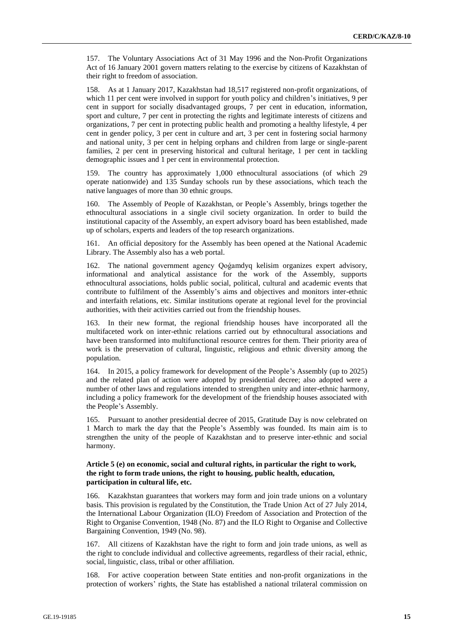157. The Voluntary Associations Act of 31 May 1996 and the Non-Profit Organizations Act of 16 January 2001 govern matters relating to the exercise by citizens of Kazakhstan of their right to freedom of association.

158. As at 1 January 2017, Kazakhstan had 18,517 registered non-profit organizations, of which 11 per cent were involved in support for youth policy and children's initiatives, 9 per cent in support for socially disadvantaged groups, 7 per cent in education, information, sport and culture, 7 per cent in protecting the rights and legitimate interests of citizens and organizations, 7 per cent in protecting public health and promoting a healthy lifestyle, 4 per cent in gender policy, 3 per cent in culture and art, 3 per cent in fostering social harmony and national unity, 3 per cent in helping orphans and children from large or single-parent families, 2 per cent in preserving historical and cultural heritage, 1 per cent in tackling demographic issues and 1 per cent in environmental protection.

159. The country has approximately 1,000 ethnocultural associations (of which 29 operate nationwide) and 135 Sunday schools run by these associations, which teach the native languages of more than 30 ethnic groups.

160. The Assembly of People of Kazakhstan, or People's Assembly, brings together the ethnocultural associations in a single civil society organization. In order to build the institutional capacity of the Assembly, an expert advisory board has been established, made up of scholars, experts and leaders of the top research organizations.

161. An official depository for the Assembly has been opened at the National Academic Library. The Assembly also has a web portal.

162. The national government agency Qoǵamdyq kelisim organizes expert advisory, informational and analytical assistance for the work of the Assembly, supports ethnocultural associations, holds public social, political, cultural and academic events that contribute to fulfilment of the Assembly's aims and objectives and monitors inter-ethnic and interfaith relations, etc. Similar institutions operate at regional level for the provincial authorities, with their activities carried out from the friendship houses.

163. In their new format, the regional friendship houses have incorporated all the multifaceted work on inter-ethnic relations carried out by ethnocultural associations and have been transformed into multifunctional resource centres for them. Their priority area of work is the preservation of cultural, linguistic, religious and ethnic diversity among the population.

164. In 2015, a policy framework for development of the People's Assembly (up to 2025) and the related plan of action were adopted by presidential decree; also adopted were a number of other laws and regulations intended to strengthen unity and inter-ethnic harmony, including a policy framework for the development of the friendship houses associated with the People's Assembly.

165. Pursuant to another presidential decree of 2015, Gratitude Day is now celebrated on 1 March to mark the day that the People's Assembly was founded. Its main aim is to strengthen the unity of the people of Kazakhstan and to preserve inter-ethnic and social harmony.

# **Article 5 (e) on economic, social and cultural rights, in particular the right to work, the right to form trade unions, the right to housing, public health, education, participation in cultural life, etc.**

166. Kazakhstan guarantees that workers may form and join trade unions on a voluntary basis. This provision is regulated by the Constitution, the Trade Union Act of 27 July 2014, the International Labour Organization (ILO) Freedom of Association and Protection of the Right to Organise Convention, 1948 (No. 87) and the ILO Right to Organise and Collective Bargaining Convention, 1949 (No. 98).

167. All citizens of Kazakhstan have the right to form and join trade unions, as well as the right to conclude individual and collective agreements, regardless of their racial, ethnic, social, linguistic, class, tribal or other affiliation.

168. For active cooperation between State entities and non-profit organizations in the protection of workers' rights, the State has established a national trilateral commission on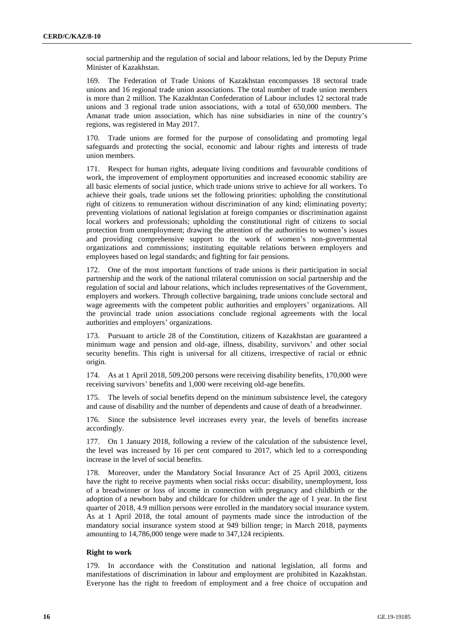social partnership and the regulation of social and labour relations, led by the Deputy Prime Minister of Kazakhstan.

169. The Federation of Trade Unions of Kazakhstan encompasses 18 sectoral trade unions and 16 regional trade union associations. The total number of trade union members is more than 2 million. The Kazakhstan Confederation of Labour includes 12 sectoral trade unions and 3 regional trade union associations, with a total of 650,000 members. The Amanat trade union association, which has nine subsidiaries in nine of the country's regions, was registered in May 2017.

170. Trade unions are formed for the purpose of consolidating and promoting legal safeguards and protecting the social, economic and labour rights and interests of trade union members.

171. Respect for human rights, adequate living conditions and favourable conditions of work, the improvement of employment opportunities and increased economic stability are all basic elements of social justice, which trade unions strive to achieve for all workers. To achieve their goals, trade unions set the following priorities: upholding the constitutional right of citizens to remuneration without discrimination of any kind; eliminating poverty; preventing violations of national legislation at foreign companies or discrimination against local workers and professionals; upholding the constitutional right of citizens to social protection from unemployment; drawing the attention of the authorities to women's issues and providing comprehensive support to the work of women's non-governmental organizations and commissions; instituting equitable relations between employers and employees based on legal standards; and fighting for fair pensions.

172. One of the most important functions of trade unions is their participation in social partnership and the work of the national trilateral commission on social partnership and the regulation of social and labour relations, which includes representatives of the Government, employers and workers. Through collective bargaining, trade unions conclude sectoral and wage agreements with the competent public authorities and employers' organizations. All the provincial trade union associations conclude regional agreements with the local authorities and employers' organizations.

173. Pursuant to article 28 of the Constitution, citizens of Kazakhstan are guaranteed a minimum wage and pension and old-age, illness, disability, survivors' and other social security benefits. This right is universal for all citizens, irrespective of racial or ethnic origin.

174. As at 1 April 2018, 509,200 persons were receiving disability benefits, 170,000 were receiving survivors' benefits and 1,000 were receiving old-age benefits.

175. The levels of social benefits depend on the minimum subsistence level, the category and cause of disability and the number of dependents and cause of death of a breadwinner.

176. Since the subsistence level increases every year, the levels of benefits increase accordingly.

177. On 1 January 2018, following a review of the calculation of the subsistence level, the level was increased by 16 per cent compared to 2017, which led to a corresponding increase in the level of social benefits.

178. Moreover, under the Mandatory Social Insurance Act of 25 April 2003, citizens have the right to receive payments when social risks occur: disability, unemployment, loss of a breadwinner or loss of income in connection with pregnancy and childbirth or the adoption of a newborn baby and childcare for children under the age of 1 year. In the first quarter of 2018, 4.9 million persons were enrolled in the mandatory social insurance system. As at 1 April 2018, the total amount of payments made since the introduction of the mandatory social insurance system stood at 949 billion tenge; in March 2018, payments amounting to 14,786,000 tenge were made to 347,124 recipients.

#### **Right to work**

179. In accordance with the Constitution and national legislation, all forms and manifestations of discrimination in labour and employment are prohibited in Kazakhstan. Everyone has the right to freedom of employment and a free choice of occupation and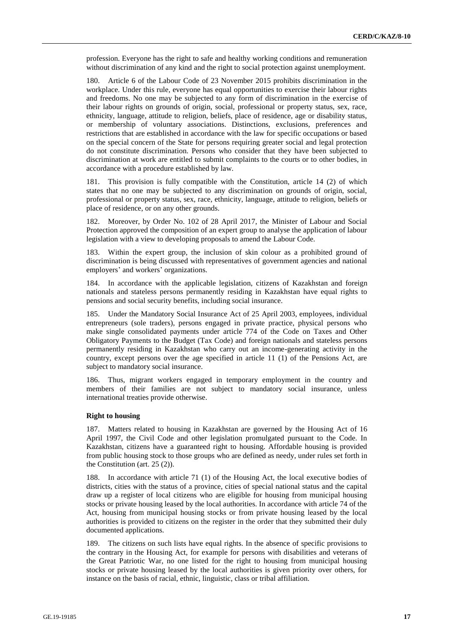profession. Everyone has the right to safe and healthy working conditions and remuneration without discrimination of any kind and the right to social protection against unemployment.

180. Article 6 of the Labour Code of 23 November 2015 prohibits discrimination in the workplace. Under this rule, everyone has equal opportunities to exercise their labour rights and freedoms. No one may be subjected to any form of discrimination in the exercise of their labour rights on grounds of origin, social, professional or property status, sex, race, ethnicity, language, attitude to religion, beliefs, place of residence, age or disability status, or membership of voluntary associations. Distinctions, exclusions, preferences and restrictions that are established in accordance with the law for specific occupations or based on the special concern of the State for persons requiring greater social and legal protection do not constitute discrimination. Persons who consider that they have been subjected to discrimination at work are entitled to submit complaints to the courts or to other bodies, in accordance with a procedure established by law.

181. This provision is fully compatible with the Constitution, article 14 (2) of which states that no one may be subjected to any discrimination on grounds of origin, social, professional or property status, sex, race, ethnicity, language, attitude to religion, beliefs or place of residence, or on any other grounds.

182. Moreover, by Order No. 102 of 28 April 2017, the Minister of Labour and Social Protection approved the composition of an expert group to analyse the application of labour legislation with a view to developing proposals to amend the Labour Code.

183. Within the expert group, the inclusion of skin colour as a prohibited ground of discrimination is being discussed with representatives of government agencies and national employers' and workers' organizations.

184. In accordance with the applicable legislation, citizens of Kazakhstan and foreign nationals and stateless persons permanently residing in Kazakhstan have equal rights to pensions and social security benefits, including social insurance.

185. Under the Mandatory Social Insurance Act of 25 April 2003, employees, individual entrepreneurs (sole traders), persons engaged in private practice, physical persons who make single consolidated payments under article 774 of the Code on Taxes and Other Obligatory Payments to the Budget (Tax Code) and foreign nationals and stateless persons permanently residing in Kazakhstan who carry out an income-generating activity in the country, except persons over the age specified in article 11 (1) of the Pensions Act, are subject to mandatory social insurance.

186. Thus, migrant workers engaged in temporary employment in the country and members of their families are not subject to mandatory social insurance, unless international treaties provide otherwise.

## **Right to housing**

187. Matters related to housing in Kazakhstan are governed by the Housing Act of 16 April 1997, the Civil Code and other legislation promulgated pursuant to the Code. In Kazakhstan, citizens have a guaranteed right to housing. Affordable housing is provided from public housing stock to those groups who are defined as needy, under rules set forth in the Constitution (art. 25 (2)).

188. In accordance with article 71 (1) of the Housing Act, the local executive bodies of districts, cities with the status of a province, cities of special national status and the capital draw up a register of local citizens who are eligible for housing from municipal housing stocks or private housing leased by the local authorities. In accordance with article 74 of the Act, housing from municipal housing stocks or from private housing leased by the local authorities is provided to citizens on the register in the order that they submitted their duly documented applications.

189. The citizens on such lists have equal rights. In the absence of specific provisions to the contrary in the Housing Act, for example for persons with disabilities and veterans of the Great Patriotic War, no one listed for the right to housing from municipal housing stocks or private housing leased by the local authorities is given priority over others, for instance on the basis of racial, ethnic, linguistic, class or tribal affiliation.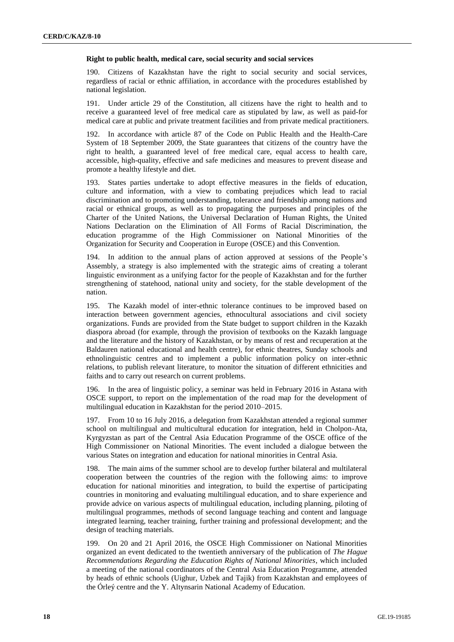#### **Right to public health, medical care, social security and social services**

190. Citizens of Kazakhstan have the right to social security and social services, regardless of racial or ethnic affiliation, in accordance with the procedures established by national legislation.

191. Under article 29 of the Constitution, all citizens have the right to health and to receive a guaranteed level of free medical care as stipulated by law, as well as paid-for medical care at public and private treatment facilities and from private medical practitioners.

192. In accordance with article 87 of the Code on Public Health and the Health-Care System of 18 September 2009, the State guarantees that citizens of the country have the right to health, a guaranteed level of free medical care, equal access to health care, accessible, high-quality, effective and safe medicines and measures to prevent disease and promote a healthy lifestyle and diet.

193. States parties undertake to adopt effective measures in the fields of education, culture and information, with a view to combating prejudices which lead to racial discrimination and to promoting understanding, tolerance and friendship among nations and racial or ethnical groups, as well as to propagating the purposes and principles of the Charter of the United Nations, the Universal Declaration of Human Rights, the United Nations Declaration on the Elimination of All Forms of Racial Discrimination, the education programme of the High Commissioner on National Minorities of the Organization for Security and Cooperation in Europe (OSCE) and this Convention.

194. In addition to the annual plans of action approved at sessions of the People's Assembly, a strategy is also implemented with the strategic aims of creating a tolerant linguistic environment as a unifying factor for the people of Kazakhstan and for the further strengthening of statehood, national unity and society, for the stable development of the nation.

195. The Kazakh model of inter-ethnic tolerance continues to be improved based on interaction between government agencies, ethnocultural associations and civil society organizations. Funds are provided from the State budget to support children in the Kazakh diaspora abroad (for example, through the provision of textbooks on the Kazakh language and the literature and the history of Kazakhstan, or by means of rest and recuperation at the Baldauren national educational and health centre), for ethnic theatres, Sunday schools and ethnolinguistic centres and to implement a public information policy on inter-ethnic relations, to publish relevant literature, to monitor the situation of different ethnicities and faiths and to carry out research on current problems.

196. In the area of linguistic policy, a seminar was held in February 2016 in Astana with OSCE support, to report on the implementation of the road map for the development of multilingual education in Kazakhstan for the period 2010–2015.

197. From 10 to 16 July 2016, a delegation from Kazakhstan attended a regional summer school on multilingual and multicultural education for integration, held in Cholpon-Ata, Kyrgyzstan as part of the Central Asia Education Programme of the OSCE office of the High Commissioner on National Minorities. The event included a dialogue between the various States on integration and education for national minorities in Central Asia.

198. The main aims of the summer school are to develop further bilateral and multilateral cooperation between the countries of the region with the following aims: to improve education for national minorities and integration, to build the expertise of participating countries in monitoring and evaluating multilingual education, and to share experience and provide advice on various aspects of multilingual education, including planning, piloting of multilingual programmes, methods of second language teaching and content and language integrated learning, teacher training, further training and professional development; and the design of teaching materials.

199. On 20 and 21 April 2016, the OSCE High Commissioner on National Minorities organized an event dedicated to the twentieth anniversary of the publication of *The Hague Recommendations Regarding the Education Rights of National Minorities*, which included a meeting of the national coordinators of the Central Asia Education Programme, attended by heads of ethnic schools (Uighur, Uzbek and Tajik) from Kazakhstan and employees of the Órleý centre and the Y. Altynsarin National Academy of Education.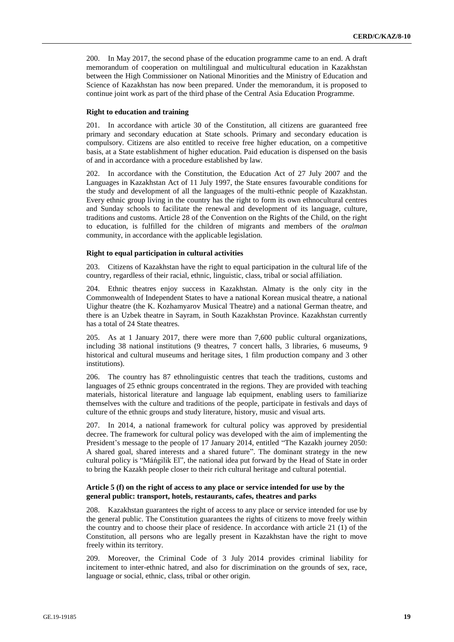200. In May 2017, the second phase of the education programme came to an end. A draft memorandum of cooperation on multilingual and multicultural education in Kazakhstan between the High Commissioner on National Minorities and the Ministry of Education and Science of Kazakhstan has now been prepared. Under the memorandum, it is proposed to continue joint work as part of the third phase of the Central Asia Education Programme.

# **Right to education and training**

201. In accordance with article 30 of the Constitution, all citizens are guaranteed free primary and secondary education at State schools. Primary and secondary education is compulsory. Citizens are also entitled to receive free higher education, on a competitive basis, at a State establishment of higher education. Paid education is dispensed on the basis of and in accordance with a procedure established by law.

202. In accordance with the Constitution, the Education Act of 27 July 2007 and the Languages in Kazakhstan Act of 11 July 1997, the State ensures favourable conditions for the study and development of all the languages of the multi-ethnic people of Kazakhstan. Every ethnic group living in the country has the right to form its own ethnocultural centres and Sunday schools to facilitate the renewal and development of its language, culture, traditions and customs. Article 28 of the Convention on the Rights of the Child, on the right to education, is fulfilled for the children of migrants and members of the *oralman* community, in accordance with the applicable legislation.

#### **Right to equal participation in cultural activities**

203. Citizens of Kazakhstan have the right to equal participation in the cultural life of the country, regardless of their racial, ethnic, linguistic, class, tribal or social affiliation.

204. Ethnic theatres enjoy success in Kazakhstan. Almaty is the only city in the Commonwealth of Independent States to have a national Korean musical theatre, a national Uighur theatre (the K. Kozhamyarov Musical Theatre) and a national German theatre, and there is an Uzbek theatre in Sayram, in South Kazakhstan Province. Kazakhstan currently has a total of 24 State theatres.

205. As at 1 January 2017, there were more than 7,600 public cultural organizations, including 38 national institutions (9 theatres, 7 concert halls, 3 libraries, 6 museums, 9 historical and cultural museums and heritage sites, 1 film production company and 3 other institutions).

206. The country has 87 ethnolinguistic centres that teach the traditions, customs and languages of 25 ethnic groups concentrated in the regions. They are provided with teaching materials, historical literature and language lab equipment, enabling users to familiarize themselves with the culture and traditions of the people, participate in festivals and days of culture of the ethnic groups and study literature, history, music and visual arts.

207. In 2014, a national framework for cultural policy was approved by presidential decree. The framework for cultural policy was developed with the aim of implementing the President's message to the people of 17 January 2014, entitled "The Kazakh journey 2050: A shared goal, shared interests and a shared future". The dominant strategy in the new cultural policy is "Máńgilik El", the national idea put forward by the Head of State in order to bring the Kazakh people closer to their rich cultural heritage and cultural potential.

# **Article 5 (f) on the right of access to any place or service intended for use by the general public: transport, hotels, restaurants, cafes, theatres and parks**

208. Kazakhstan guarantees the right of access to any place or service intended for use by the general public. The Constitution guarantees the rights of citizens to move freely within the country and to choose their place of residence. In accordance with article 21 (1) of the Constitution, all persons who are legally present in Kazakhstan have the right to move freely within its territory.

209. Moreover, the Criminal Code of 3 July 2014 provides criminal liability for incitement to inter-ethnic hatred, and also for discrimination on the grounds of sex, race, language or social, ethnic, class, tribal or other origin.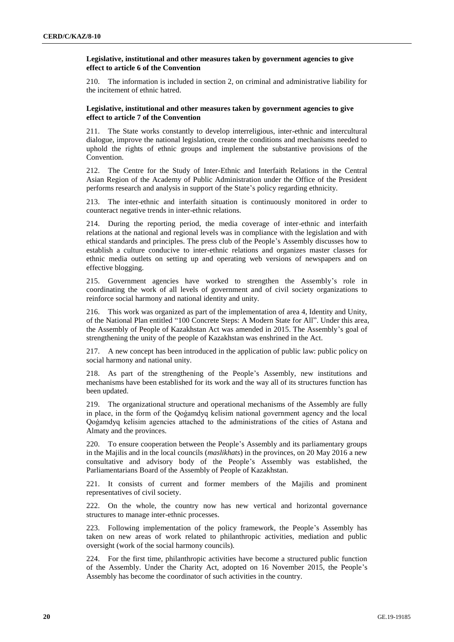# **Legislative, institutional and other measures taken by government agencies to give effect to article 6 of the Convention**

The information is included in section 2, on criminal and administrative liability for the incitement of ethnic hatred.

#### **Legislative, institutional and other measures taken by government agencies to give effect to article 7 of the Convention**

211. The State works constantly to develop interreligious, inter-ethnic and intercultural dialogue, improve the national legislation, create the conditions and mechanisms needed to uphold the rights of ethnic groups and implement the substantive provisions of the Convention.

212. The Centre for the Study of Inter-Ethnic and Interfaith Relations in the Central Asian Region of the Academy of Public Administration under the Office of the President performs research and analysis in support of the State's policy regarding ethnicity.

213. The inter-ethnic and interfaith situation is continuously monitored in order to counteract negative trends in inter-ethnic relations.

214. During the reporting period, the media coverage of inter-ethnic and interfaith relations at the national and regional levels was in compliance with the legislation and with ethical standards and principles. The press club of the People's Assembly discusses how to establish a culture conducive to inter-ethnic relations and organizes master classes for ethnic media outlets on setting up and operating web versions of newspapers and on effective blogging.

215. Government agencies have worked to strengthen the Assembly's role in coordinating the work of all levels of government and of civil society organizations to reinforce social harmony and national identity and unity.

216. This work was organized as part of the implementation of area 4, Identity and Unity, of the National Plan entitled "100 Concrete Steps: A Modern State for All". Under this area, the Assembly of People of Kazakhstan Act was amended in 2015. The Assembly's goal of strengthening the unity of the people of Kazakhstan was enshrined in the Act.

217. A new concept has been introduced in the application of public law: public policy on social harmony and national unity.

218. As part of the strengthening of the People's Assembly, new institutions and mechanisms have been established for its work and the way all of its structures function has been updated.

219. The organizational structure and operational mechanisms of the Assembly are fully in place, in the form of the Qoǵamdyq kelisim national government agency and the local Qoǵamdyq kelisim agencies attached to the administrations of the cities of Astana and Almaty and the provinces.

220. To ensure cooperation between the People's Assembly and its parliamentary groups in the Majilis and in the local councils (*maslikhats*) in the provinces, on 20 May 2016 a new consultative and advisory body of the People's Assembly was established, the Parliamentarians Board of the Assembly of People of Kazakhstan.

221. It consists of current and former members of the Majilis and prominent representatives of civil society.

222. On the whole, the country now has new vertical and horizontal governance structures to manage inter-ethnic processes.

223. Following implementation of the policy framework, the People's Assembly has taken on new areas of work related to philanthropic activities, mediation and public oversight (work of the social harmony councils).

224. For the first time, philanthropic activities have become a structured public function of the Assembly. Under the Charity Act, adopted on 16 November 2015, the People's Assembly has become the coordinator of such activities in the country.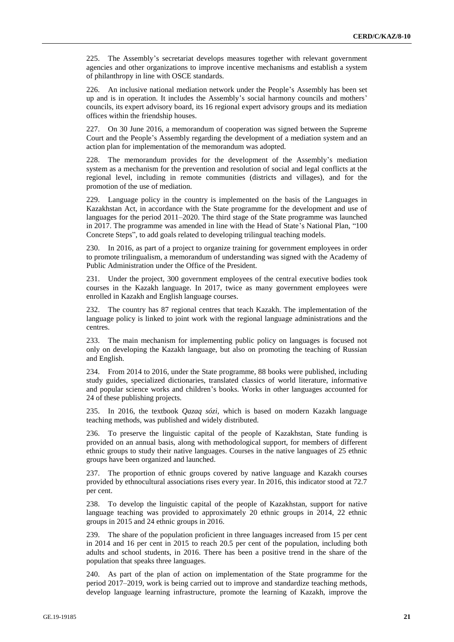225. The Assembly's secretariat develops measures together with relevant government agencies and other organizations to improve incentive mechanisms and establish a system of philanthropy in line with OSCE standards.

226. An inclusive national mediation network under the People's Assembly has been set up and is in operation. It includes the Assembly's social harmony councils and mothers' councils, its expert advisory board, its 16 regional expert advisory groups and its mediation offices within the friendship houses.

227. On 30 June 2016, a memorandum of cooperation was signed between the Supreme Court and the People's Assembly regarding the development of a mediation system and an action plan for implementation of the memorandum was adopted.

228. The memorandum provides for the development of the Assembly's mediation system as a mechanism for the prevention and resolution of social and legal conflicts at the regional level, including in remote communities (districts and villages), and for the promotion of the use of mediation.

229. Language policy in the country is implemented on the basis of the Languages in Kazakhstan Act, in accordance with the State programme for the development and use of languages for the period 2011–2020. The third stage of the State programme was launched in 2017. The programme was amended in line with the Head of State's National Plan, "100 Concrete Steps", to add goals related to developing trilingual teaching models.

230. In 2016, as part of a project to organize training for government employees in order to promote trilingualism, a memorandum of understanding was signed with the Academy of Public Administration under the Office of the President.

231. Under the project, 300 government employees of the central executive bodies took courses in the Kazakh language. In 2017, twice as many government employees were enrolled in Kazakh and English language courses.

232. The country has 87 regional centres that teach Kazakh. The implementation of the language policy is linked to joint work with the regional language administrations and the centres.

233. The main mechanism for implementing public policy on languages is focused not only on developing the Kazakh language, but also on promoting the teaching of Russian and English.

234. From 2014 to 2016, under the State programme, 88 books were published, including study guides, specialized dictionaries, translated classics of world literature, informative and popular science works and children's books. Works in other languages accounted for 24 of these publishing projects.

235. In 2016, the textbook *Qazaq sózi*, which is based on modern Kazakh language teaching methods, was published and widely distributed.

236. To preserve the linguistic capital of the people of Kazakhstan, State funding is provided on an annual basis, along with methodological support, for members of different ethnic groups to study their native languages. Courses in the native languages of 25 ethnic groups have been organized and launched.

237. The proportion of ethnic groups covered by native language and Kazakh courses provided by ethnocultural associations rises every year. In 2016, this indicator stood at 72.7 per cent.

238. To develop the linguistic capital of the people of Kazakhstan, support for native language teaching was provided to approximately 20 ethnic groups in 2014, 22 ethnic groups in 2015 and 24 ethnic groups in 2016.

239. The share of the population proficient in three languages increased from 15 per cent in 2014 and 16 per cent in 2015 to reach 20.5 per cent of the population, including both adults and school students, in 2016. There has been a positive trend in the share of the population that speaks three languages.

240. As part of the plan of action on implementation of the State programme for the period 2017–2019, work is being carried out to improve and standardize teaching methods, develop language learning infrastructure, promote the learning of Kazakh, improve the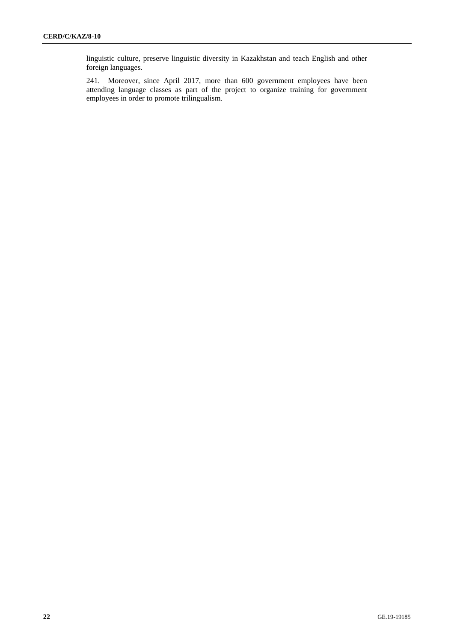linguistic culture, preserve linguistic diversity in Kazakhstan and teach English and other foreign languages.

241. Moreover, since April 2017, more than 600 government employees have been attending language classes as part of the project to organize training for government employees in order to promote trilingualism.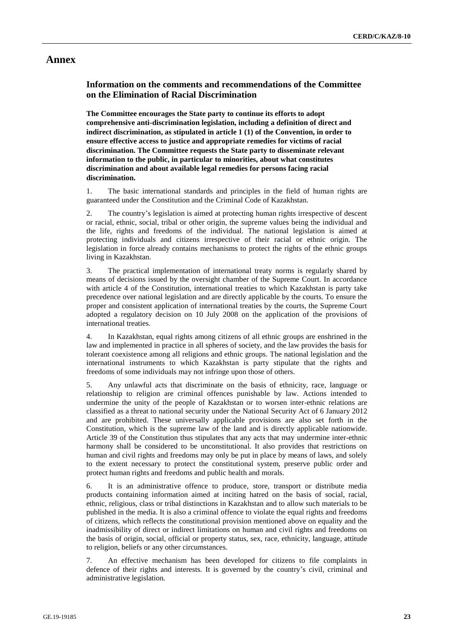# **Annex**

# **Information on the comments and recommendations of the Committee on the Elimination of Racial Discrimination**

**The Committee encourages the State party to continue its efforts to adopt comprehensive anti-discrimination legislation, including a definition of direct and indirect discrimination, as stipulated in article 1 (1) of the Convention, in order to ensure effective access to justice and appropriate remedies for victims of racial discrimination. The Committee requests the State party to disseminate relevant information to the public, in particular to minorities, about what constitutes discrimination and about available legal remedies for persons facing racial discrimination.**

1. The basic international standards and principles in the field of human rights are guaranteed under the Constitution and the Criminal Code of Kazakhstan.

2. The country's legislation is aimed at protecting human rights irrespective of descent or racial, ethnic, social, tribal or other origin, the supreme values being the individual and the life, rights and freedoms of the individual. The national legislation is aimed at protecting individuals and citizens irrespective of their racial or ethnic origin. The legislation in force already contains mechanisms to protect the rights of the ethnic groups living in Kazakhstan.

3. The practical implementation of international treaty norms is regularly shared by means of decisions issued by the oversight chamber of the Supreme Court. In accordance with article 4 of the Constitution, international treaties to which Kazakhstan is party take precedence over national legislation and are directly applicable by the courts. To ensure the proper and consistent application of international treaties by the courts, the Supreme Court adopted a regulatory decision on 10 July 2008 on the application of the provisions of international treaties.

4. In Kazakhstan, equal rights among citizens of all ethnic groups are enshrined in the law and implemented in practice in all spheres of society, and the law provides the basis for tolerant coexistence among all religions and ethnic groups. The national legislation and the international instruments to which Kazakhstan is party stipulate that the rights and freedoms of some individuals may not infringe upon those of others.

5. Any unlawful acts that discriminate on the basis of ethnicity, race, language or relationship to religion are criminal offences punishable by law. Actions intended to undermine the unity of the people of Kazakhstan or to worsen inter-ethnic relations are classified as a threat to national security under the National Security Act of 6 January 2012 and are prohibited. These universally applicable provisions are also set forth in the Constitution, which is the supreme law of the land and is directly applicable nationwide. Article 39 of the Constitution thus stipulates that any acts that may undermine inter-ethnic harmony shall be considered to be unconstitutional. It also provides that restrictions on human and civil rights and freedoms may only be put in place by means of laws, and solely to the extent necessary to protect the constitutional system, preserve public order and protect human rights and freedoms and public health and morals.

6. It is an administrative offence to produce, store, transport or distribute media products containing information aimed at inciting hatred on the basis of social, racial, ethnic, religious, class or tribal distinctions in Kazakhstan and to allow such materials to be published in the media. It is also a criminal offence to violate the equal rights and freedoms of citizens, which reflects the constitutional provision mentioned above on equality and the inadmissibility of direct or indirect limitations on human and civil rights and freedoms on the basis of origin, social, official or property status, sex, race, ethnicity, language, attitude to religion, beliefs or any other circumstances.

7. An effective mechanism has been developed for citizens to file complaints in defence of their rights and interests. It is governed by the country's civil, criminal and administrative legislation.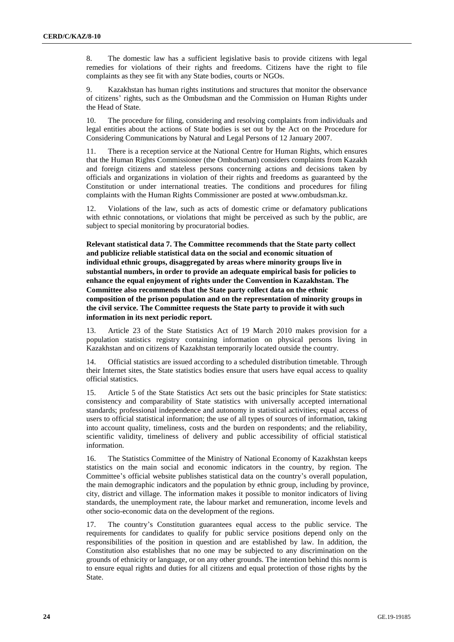8. The domestic law has a sufficient legislative basis to provide citizens with legal remedies for violations of their rights and freedoms. Citizens have the right to file complaints as they see fit with any State bodies, courts or NGOs.

9. Kazakhstan has human rights institutions and structures that monitor the observance of citizens' rights, such as the Ombudsman and the Commission on Human Rights under the Head of State.

10. The procedure for filing, considering and resolving complaints from individuals and legal entities about the actions of State bodies is set out by the Act on the Procedure for Considering Communications by Natural and Legal Persons of 12 January 2007.

11. There is a reception service at the National Centre for Human Rights, which ensures that the Human Rights Commissioner (the Ombudsman) considers complaints from Kazakh and foreign citizens and stateless persons concerning actions and decisions taken by officials and organizations in violation of their rights and freedoms as guaranteed by the Constitution or under international treaties. The conditions and procedures for filing complaints with the Human Rights Commissioner are posted at www.ombudsman.kz.

12. Violations of the law, such as acts of domestic crime or defamatory publications with ethnic connotations, or violations that might be perceived as such by the public, are subject to special monitoring by procuratorial bodies.

**Relevant statistical data 7. The Committee recommends that the State party collect and publicize reliable statistical data on the social and economic situation of individual ethnic groups, disaggregated by areas where minority groups live in substantial numbers, in order to provide an adequate empirical basis for policies to enhance the equal enjoyment of rights under the Convention in Kazakhstan. The Committee also recommends that the State party collect data on the ethnic composition of the prison population and on the representation of minority groups in the civil service. The Committee requests the State party to provide it with such information in its next periodic report.**

13. Article 23 of the State Statistics Act of 19 March 2010 makes provision for a population statistics registry containing information on physical persons living in Kazakhstan and on citizens of Kazakhstan temporarily located outside the country.

14. Official statistics are issued according to a scheduled distribution timetable. Through their Internet sites, the State statistics bodies ensure that users have equal access to quality official statistics.

15. Article 5 of the State Statistics Act sets out the basic principles for State statistics: consistency and comparability of State statistics with universally accepted international standards; professional independence and autonomy in statistical activities; equal access of users to official statistical information; the use of all types of sources of information, taking into account quality, timeliness, costs and the burden on respondents; and the reliability, scientific validity, timeliness of delivery and public accessibility of official statistical information.

16. The Statistics Committee of the Ministry of National Economy of Kazakhstan keeps statistics on the main social and economic indicators in the country, by region. The Committee's official website publishes statistical data on the country's overall population, the main demographic indicators and the population by ethnic group, including by province, city, district and village. The information makes it possible to monitor indicators of living standards, the unemployment rate, the labour market and remuneration, income levels and other socio-economic data on the development of the regions.

The country's Constitution guarantees equal access to the public service. The requirements for candidates to qualify for public service positions depend only on the responsibilities of the position in question and are established by law. In addition, the Constitution also establishes that no one may be subjected to any discrimination on the grounds of ethnicity or language, or on any other grounds. The intention behind this norm is to ensure equal rights and duties for all citizens and equal protection of those rights by the State.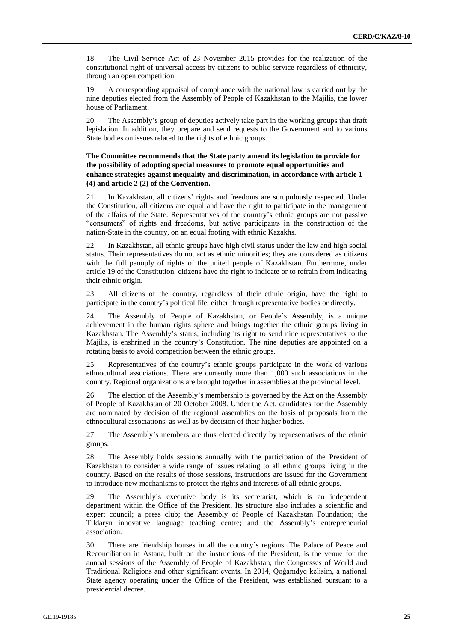18. The Civil Service Act of 23 November 2015 provides for the realization of the constitutional right of universal access by citizens to public service regardless of ethnicity, through an open competition.

19. A corresponding appraisal of compliance with the national law is carried out by the nine deputies elected from the Assembly of People of Kazakhstan to the Majilis, the lower house of Parliament.

20. The Assembly's group of deputies actively take part in the working groups that draft legislation. In addition, they prepare and send requests to the Government and to various State bodies on issues related to the rights of ethnic groups.

# **The Committee recommends that the State party amend its legislation to provide for the possibility of adopting special measures to promote equal opportunities and enhance strategies against inequality and discrimination, in accordance with article 1 (4) and article 2 (2) of the Convention.**

21. In Kazakhstan, all citizens' rights and freedoms are scrupulously respected. Under the Constitution, all citizens are equal and have the right to participate in the management of the affairs of the State. Representatives of the country's ethnic groups are not passive "consumers" of rights and freedoms, but active participants in the construction of the nation-State in the country, on an equal footing with ethnic Kazakhs.

22. In Kazakhstan, all ethnic groups have high civil status under the law and high social status. Their representatives do not act as ethnic minorities; they are considered as citizens with the full panoply of rights of the united people of Kazakhstan. Furthermore, under article 19 of the Constitution, citizens have the right to indicate or to refrain from indicating their ethnic origin.

23. All citizens of the country, regardless of their ethnic origin, have the right to participate in the country's political life, either through representative bodies or directly.

24. The Assembly of People of Kazakhstan, or People's Assembly, is a unique achievement in the human rights sphere and brings together the ethnic groups living in Kazakhstan. The Assembly's status, including its right to send nine representatives to the Majilis, is enshrined in the country's Constitution. The nine deputies are appointed on a rotating basis to avoid competition between the ethnic groups.

25. Representatives of the country's ethnic groups participate in the work of various ethnocultural associations. There are currently more than 1,000 such associations in the country. Regional organizations are brought together in assemblies at the provincial level.

26. The election of the Assembly's membership is governed by the Act on the Assembly of People of Kazakhstan of 20 October 2008. Under the Act, candidates for the Assembly are nominated by decision of the regional assemblies on the basis of proposals from the ethnocultural associations, as well as by decision of their higher bodies.

27. The Assembly's members are thus elected directly by representatives of the ethnic groups.

28. The Assembly holds sessions annually with the participation of the President of Kazakhstan to consider a wide range of issues relating to all ethnic groups living in the country. Based on the results of those sessions, instructions are issued for the Government to introduce new mechanisms to protect the rights and interests of all ethnic groups.

29. The Assembly's executive body is its secretariat, which is an independent department within the Office of the President. Its structure also includes a scientific and expert council; a press club; the Assembly of People of Kazakhstan Foundation; the Tildaryn innovative language teaching centre; and the Assembly's entrepreneurial association.

30. There are friendship houses in all the country's regions. The Palace of Peace and Reconciliation in Astana, built on the instructions of the President, is the venue for the annual sessions of the Assembly of People of Kazakhstan, the Congresses of World and Traditional Religions and other significant events. In 2014, Qoǵamdyq kelisim, a national State agency operating under the Office of the President, was established pursuant to a presidential decree.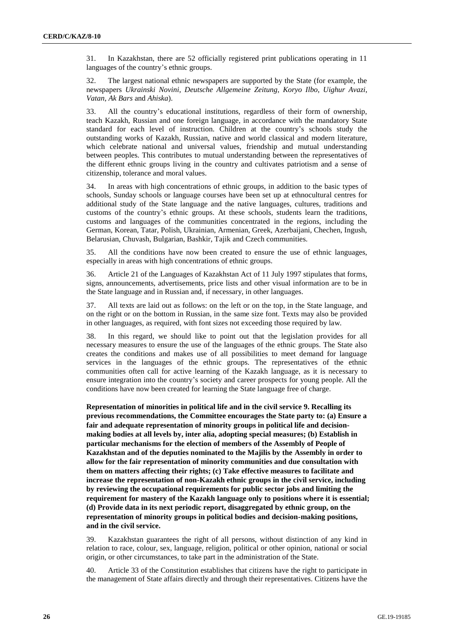31. In Kazakhstan, there are 52 officially registered print publications operating in 11 languages of the country's ethnic groups.

32. The largest national ethnic newspapers are supported by the State (for example, the newspapers *Ukrainski Novini*, *Deutsche Allgemeine Zeitung*, *Koryo Ilbo*, *Uighur Avazi*, *Vatan*, *Ak Bars* and *Ahiska*).

33. All the country's educational institutions, regardless of their form of ownership, teach Kazakh, Russian and one foreign language, in accordance with the mandatory State standard for each level of instruction. Children at the country's schools study the outstanding works of Kazakh, Russian, native and world classical and modern literature, which celebrate national and universal values, friendship and mutual understanding between peoples. This contributes to mutual understanding between the representatives of the different ethnic groups living in the country and cultivates patriotism and a sense of citizenship, tolerance and moral values.

34. In areas with high concentrations of ethnic groups, in addition to the basic types of schools, Sunday schools or language courses have been set up at ethnocultural centres for additional study of the State language and the native languages, cultures, traditions and customs of the country's ethnic groups. At these schools, students learn the traditions, customs and languages of the communities concentrated in the regions, including the German, Korean, Tatar, Polish, Ukrainian, Armenian, Greek, Azerbaijani, Chechen, Ingush, Belarusian, Chuvash, Bulgarian, Bashkir, Tajik and Czech communities.

35. All the conditions have now been created to ensure the use of ethnic languages, especially in areas with high concentrations of ethnic groups.

36. Article 21 of the Languages of Kazakhstan Act of 11 July 1997 stipulates that forms, signs, announcements, advertisements, price lists and other visual information are to be in the State language and in Russian and, if necessary, in other languages.

37. All texts are laid out as follows: on the left or on the top, in the State language, and on the right or on the bottom in Russian, in the same size font. Texts may also be provided in other languages, as required, with font sizes not exceeding those required by law.

38. In this regard, we should like to point out that the legislation provides for all necessary measures to ensure the use of the languages of the ethnic groups. The State also creates the conditions and makes use of all possibilities to meet demand for language services in the languages of the ethnic groups. The representatives of the ethnic communities often call for active learning of the Kazakh language, as it is necessary to ensure integration into the country's society and career prospects for young people. All the conditions have now been created for learning the State language free of charge.

**Representation of minorities in political life and in the civil service 9. Recalling its previous recommendations, the Committee encourages the State party to: (a) Ensure a fair and adequate representation of minority groups in political life and decisionmaking bodies at all levels by, inter alia, adopting special measures; (b) Establish in particular mechanisms for the election of members of the Assembly of People of Kazakhstan and of the deputies nominated to the Majilis by the Assembly in order to allow for the fair representation of minority communities and due consultation with them on matters affecting their rights; (c) Take effective measures to facilitate and increase the representation of non-Kazakh ethnic groups in the civil service, including by reviewing the occupational requirements for public sector jobs and limiting the requirement for mastery of the Kazakh language only to positions where it is essential; (d) Provide data in its next periodic report, disaggregated by ethnic group, on the representation of minority groups in political bodies and decision-making positions, and in the civil service.**

39. Kazakhstan guarantees the right of all persons, without distinction of any kind in relation to race, colour, sex, language, religion, political or other opinion, national or social origin, or other circumstances, to take part in the administration of the State.

40. Article 33 of the Constitution establishes that citizens have the right to participate in the management of State affairs directly and through their representatives. Citizens have the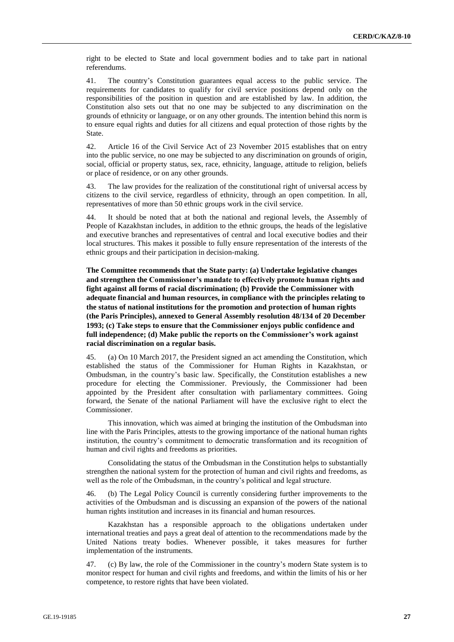right to be elected to State and local government bodies and to take part in national referendums.

41. The country's Constitution guarantees equal access to the public service. The requirements for candidates to qualify for civil service positions depend only on the responsibilities of the position in question and are established by law. In addition, the Constitution also sets out that no one may be subjected to any discrimination on the grounds of ethnicity or language, or on any other grounds. The intention behind this norm is to ensure equal rights and duties for all citizens and equal protection of those rights by the State.

42. Article 16 of the Civil Service Act of 23 November 2015 establishes that on entry into the public service, no one may be subjected to any discrimination on grounds of origin, social, official or property status, sex, race, ethnicity, language, attitude to religion, beliefs or place of residence, or on any other grounds.

43. The law provides for the realization of the constitutional right of universal access by citizens to the civil service, regardless of ethnicity, through an open competition. In all, representatives of more than 50 ethnic groups work in the civil service.

44. It should be noted that at both the national and regional levels, the Assembly of People of Kazakhstan includes, in addition to the ethnic groups, the heads of the legislative and executive branches and representatives of central and local executive bodies and their local structures. This makes it possible to fully ensure representation of the interests of the ethnic groups and their participation in decision-making.

**The Committee recommends that the State party: (a) Undertake legislative changes and strengthen the Commissioner's mandate to effectively promote human rights and fight against all forms of racial discrimination; (b) Provide the Commissioner with adequate financial and human resources, in compliance with the principles relating to the status of national institutions for the promotion and protection of human rights (the Paris Principles), annexed to General Assembly resolution 48/134 of 20 December 1993; (c) Take steps to ensure that the Commissioner enjoys public confidence and full independence; (d) Make public the reports on the Commissioner's work against racial discrimination on a regular basis.**

45. (a) On 10 March 2017, the President signed an act amending the Constitution, which established the status of the Commissioner for Human Rights in Kazakhstan, or Ombudsman, in the country's basic law. Specifically, the Constitution establishes a new procedure for electing the Commissioner. Previously, the Commissioner had been appointed by the President after consultation with parliamentary committees. Going forward, the Senate of the national Parliament will have the exclusive right to elect the Commissioner.

This innovation, which was aimed at bringing the institution of the Ombudsman into line with the Paris Principles, attests to the growing importance of the national human rights institution, the country's commitment to democratic transformation and its recognition of human and civil rights and freedoms as priorities.

Consolidating the status of the Ombudsman in the Constitution helps to substantially strengthen the national system for the protection of human and civil rights and freedoms, as well as the role of the Ombudsman, in the country's political and legal structure.

46. (b) The Legal Policy Council is currently considering further improvements to the activities of the Ombudsman and is discussing an expansion of the powers of the national human rights institution and increases in its financial and human resources.

Kazakhstan has a responsible approach to the obligations undertaken under international treaties and pays a great deal of attention to the recommendations made by the United Nations treaty bodies. Whenever possible, it takes measures for further implementation of the instruments.

47. (c) By law, the role of the Commissioner in the country's modern State system is to monitor respect for human and civil rights and freedoms, and within the limits of his or her competence, to restore rights that have been violated.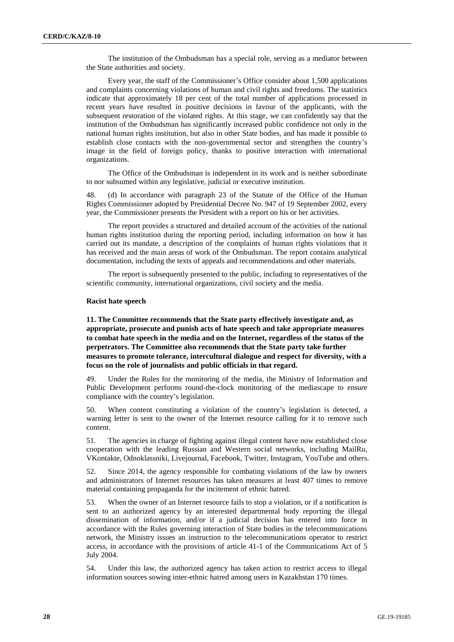The institution of the Ombudsman has a special role, serving as a mediator between the State authorities and society.

Every year, the staff of the Commissioner's Office consider about 1,500 applications and complaints concerning violations of human and civil rights and freedoms. The statistics indicate that approximately 18 per cent of the total number of applications processed in recent years have resulted in positive decisions in favour of the applicants, with the subsequent restoration of the violated rights. At this stage, we can confidently say that the institution of the Ombudsman has significantly increased public confidence not only in the national human rights institution, but also in other State bodies, and has made it possible to establish close contacts with the non-governmental sector and strengthen the country's image in the field of foreign policy, thanks to positive interaction with international organizations.

The Office of the Ombudsman is independent in its work and is neither subordinate to nor subsumed within any legislative, judicial or executive institution.

48. (d) In accordance with paragraph 23 of the Statute of the Office of the Human Rights Commissioner adopted by Presidential Decree No. 947 of 19 September 2002, every year, the Commissioner presents the President with a report on his or her activities.

The report provides a structured and detailed account of the activities of the national human rights institution during the reporting period, including information on how it has carried out its mandate, a description of the complaints of human rights violations that it has received and the main areas of work of the Ombudsman. The report contains analytical documentation, including the texts of appeals and recommendations and other materials.

The report is subsequently presented to the public, including to representatives of the scientific community, international organizations, civil society and the media.

#### **Racist hate speech**

**11. The Committee recommends that the State party effectively investigate and, as appropriate, prosecute and punish acts of hate speech and take appropriate measures to combat hate speech in the media and on the Internet, regardless of the status of the perpetrators. The Committee also recommends that the State party take further measures to promote tolerance, intercultural dialogue and respect for diversity, with a focus on the role of journalists and public officials in that regard.**

49. Under the Rules for the monitoring of the media, the Ministry of Information and Public Development performs round-the-clock monitoring of the mediascape to ensure compliance with the country's legislation.

50. When content constituting a violation of the country's legislation is detected, a warning letter is sent to the owner of the Internet resource calling for it to remove such content.

51. The agencies in charge of fighting against illegal content have now established close cooperation with the leading Russian and Western social networks, including MailRu, VKontakte, Odnoklassniki, Livejournal, Facebook, Twitter, Instagram, YouTube and others.

52. Since 2014, the agency responsible for combating violations of the law by owners and administrators of Internet resources has taken measures at least 407 times to remove material containing propaganda for the incitement of ethnic hatred.

53. When the owner of an Internet resource fails to stop a violation, or if a notification is sent to an authorized agency by an interested departmental body reporting the illegal dissemination of information, and/or if a judicial decision has entered into force in accordance with the Rules governing interaction of State bodies in the telecommunications network, the Ministry issues an instruction to the telecommunications operator to restrict access, in accordance with the provisions of article 41-1 of the Communications Act of 5 July 2004.

54. Under this law, the authorized agency has taken action to restrict access to illegal information sources sowing inter-ethnic hatred among users in Kazakhstan 170 times.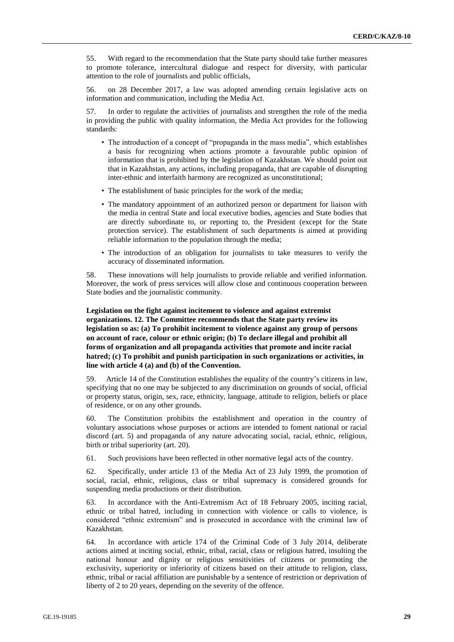55. With regard to the recommendation that the State party should take further measures to promote tolerance, intercultural dialogue and respect for diversity, with particular attention to the role of journalists and public officials,

56. on 28 December 2017, a law was adopted amending certain legislative acts on information and communication, including the Media Act.

57. In order to regulate the activities of journalists and strengthen the role of the media in providing the public with quality information, the Media Act provides for the following standards:

- The introduction of a concept of "propaganda in the mass media", which establishes a basis for recognizing when actions promote a favourable public opinion of information that is prohibited by the legislation of Kazakhstan. We should point out that in Kazakhstan, any actions, including propaganda, that are capable of disrupting inter-ethnic and interfaith harmony are recognized as unconstitutional;
- The establishment of basic principles for the work of the media;
- The mandatory appointment of an authorized person or department for liaison with the media in central State and local executive bodies, agencies and State bodies that are directly subordinate to, or reporting to, the President (except for the State protection service). The establishment of such departments is aimed at providing reliable information to the population through the media;
- The introduction of an obligation for journalists to take measures to verify the accuracy of disseminated information.

58. These innovations will help journalists to provide reliable and verified information. Moreover, the work of press services will allow close and continuous cooperation between State bodies and the journalistic community.

# **Legislation on the fight against incitement to violence and against extremist organizations. 12. The Committee recommends that the State party review its legislation so as: (a) To prohibit incitement to violence against any group of persons on account of race, colour or ethnic origin; (b) To declare illegal and prohibit all forms of organization and all propaganda activities that promote and incite racial hatred; (c) To prohibit and punish participation in such organizations or activities, in line with article 4 (a) and (b) of the Convention.**

59. Article 14 of the Constitution establishes the equality of the country's citizens in law, specifying that no one may be subjected to any discrimination on grounds of social, official or property status, origin, sex, race, ethnicity, language, attitude to religion, beliefs or place of residence, or on any other grounds.

60. The Constitution prohibits the establishment and operation in the country of voluntary associations whose purposes or actions are intended to foment national or racial discord (art. 5) and propaganda of any nature advocating social, racial, ethnic, religious, birth or tribal superiority (art. 20).

61. Such provisions have been reflected in other normative legal acts of the country.

62. Specifically, under article 13 of the Media Act of 23 July 1999, the promotion of social, racial, ethnic, religious, class or tribal supremacy is considered grounds for suspending media productions or their distribution.

63. In accordance with the Anti-Extremism Act of 18 February 2005, inciting racial, ethnic or tribal hatred, including in connection with violence or calls to violence, is considered "ethnic extremism" and is prosecuted in accordance with the criminal law of Kazakhstan.

64. In accordance with article 174 of the Criminal Code of 3 July 2014, deliberate actions aimed at inciting social, ethnic, tribal, racial, class or religious hatred, insulting the national honour and dignity or religious sensitivities of citizens or promoting the exclusivity, superiority or inferiority of citizens based on their attitude to religion, class, ethnic, tribal or racial affiliation are punishable by a sentence of restriction or deprivation of liberty of 2 to 20 years, depending on the severity of the offence.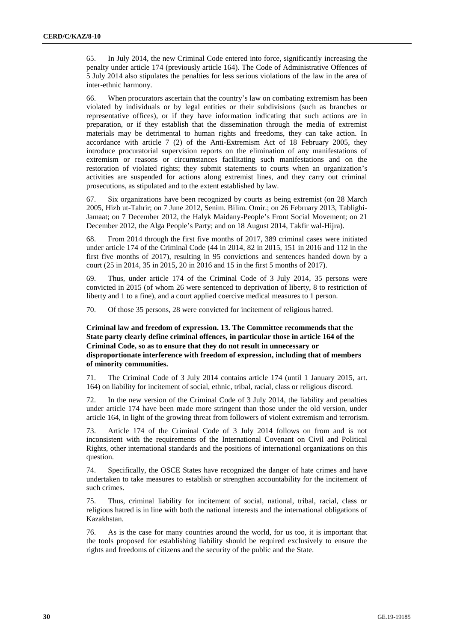65. In July 2014, the new Criminal Code entered into force, significantly increasing the penalty under article 174 (previously article 164). The Code of Administrative Offences of 5 July 2014 also stipulates the penalties for less serious violations of the law in the area of inter-ethnic harmony.

66. When procurators ascertain that the country's law on combating extremism has been violated by individuals or by legal entities or their subdivisions (such as branches or representative offices), or if they have information indicating that such actions are in preparation, or if they establish that the dissemination through the media of extremist materials may be detrimental to human rights and freedoms, they can take action. In accordance with article 7 (2) of the Anti-Extremism Act of 18 February 2005, they introduce procuratorial supervision reports on the elimination of any manifestations of extremism or reasons or circumstances facilitating such manifestations and on the restoration of violated rights; they submit statements to courts when an organization's activities are suspended for actions along extremist lines, and they carry out criminal prosecutions, as stipulated and to the extent established by law.

67. Six organizations have been recognized by courts as being extremist (on 28 March 2005, Hizb ut-Tahrir; on 7 June 2012, Senim. Bilim. Omir.; on 26 February 2013, Tablighi-Jamaat; on 7 December 2012, the Halyk Maidany-People's Front Social Movement; on 21 December 2012, the Alga People's Party; and on 18 August 2014, Takfir wal-Hijra).

68. From 2014 through the first five months of 2017, 389 criminal cases were initiated under article 174 of the Criminal Code (44 in 2014, 82 in 2015, 151 in 2016 and 112 in the first five months of 2017), resulting in 95 convictions and sentences handed down by a court (25 in 2014, 35 in 2015, 20 in 2016 and 15 in the first 5 months of 2017).

69. Thus, under article 174 of the Criminal Code of 3 July 2014, 35 persons were convicted in 2015 (of whom 26 were sentenced to deprivation of liberty, 8 to restriction of liberty and 1 to a fine), and a court applied coercive medical measures to 1 person.

70. Of those 35 persons, 28 were convicted for incitement of religious hatred.

# **Criminal law and freedom of expression. 13. The Committee recommends that the State party clearly define criminal offences, in particular those in article 164 of the Criminal Code, so as to ensure that they do not result in unnecessary or disproportionate interference with freedom of expression, including that of members of minority communities.**

71. The Criminal Code of 3 July 2014 contains article 174 (until 1 January 2015, art. 164) on liability for incitement of social, ethnic, tribal, racial, class or religious discord.

72. In the new version of the Criminal Code of 3 July 2014, the liability and penalties under article 174 have been made more stringent than those under the old version, under article 164, in light of the growing threat from followers of violent extremism and terrorism.

73. Article 174 of the Criminal Code of 3 July 2014 follows on from and is not inconsistent with the requirements of the International Covenant on Civil and Political Rights, other international standards and the positions of international organizations on this question.

74. Specifically, the OSCE States have recognized the danger of hate crimes and have undertaken to take measures to establish or strengthen accountability for the incitement of such crimes.

75. Thus, criminal liability for incitement of social, national, tribal, racial, class or religious hatred is in line with both the national interests and the international obligations of Kazakhstan.

76. As is the case for many countries around the world, for us too, it is important that the tools proposed for establishing liability should be required exclusively to ensure the rights and freedoms of citizens and the security of the public and the State.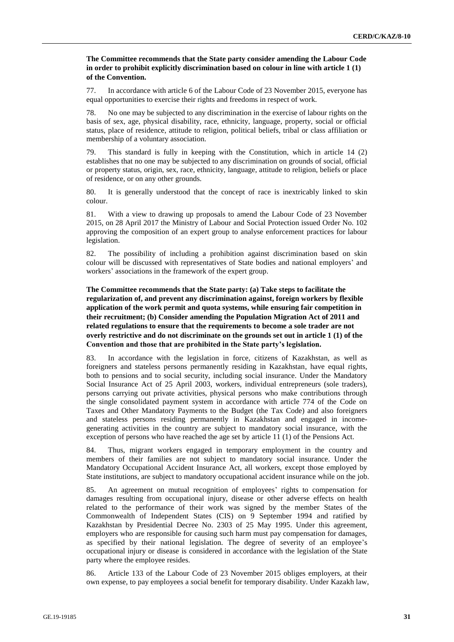# **The Committee recommends that the State party consider amending the Labour Code in order to prohibit explicitly discrimination based on colour in line with article 1 (1) of the Convention.**

77. In accordance with article 6 of the Labour Code of 23 November 2015, everyone has equal opportunities to exercise their rights and freedoms in respect of work.

78. No one may be subjected to any discrimination in the exercise of labour rights on the basis of sex, age, physical disability, race, ethnicity, language, property, social or official status, place of residence, attitude to religion, political beliefs, tribal or class affiliation or membership of a voluntary association.

79. This standard is fully in keeping with the Constitution, which in article 14 (2) establishes that no one may be subjected to any discrimination on grounds of social, official or property status, origin, sex, race, ethnicity, language, attitude to religion, beliefs or place of residence, or on any other grounds.

80. It is generally understood that the concept of race is inextricably linked to skin colour.

81. With a view to drawing up proposals to amend the Labour Code of 23 November 2015, on 28 April 2017 the Ministry of Labour and Social Protection issued Order No. 102 approving the composition of an expert group to analyse enforcement practices for labour legislation.

82. The possibility of including a prohibition against discrimination based on skin colour will be discussed with representatives of State bodies and national employers' and workers' associations in the framework of the expert group.

**The Committee recommends that the State party: (a) Take steps to facilitate the regularization of, and prevent any discrimination against, foreign workers by flexible application of the work permit and quota systems, while ensuring fair competition in their recruitment; (b) Consider amending the Population Migration Act of 2011 and related regulations to ensure that the requirements to become a sole trader are not overly restrictive and do not discriminate on the grounds set out in article 1 (1) of the Convention and those that are prohibited in the State party's legislation.**

83. In accordance with the legislation in force, citizens of Kazakhstan, as well as foreigners and stateless persons permanently residing in Kazakhstan, have equal rights, both to pensions and to social security, including social insurance. Under the Mandatory Social Insurance Act of 25 April 2003, workers, individual entrepreneurs (sole traders), persons carrying out private activities, physical persons who make contributions through the single consolidated payment system in accordance with article 774 of the Code on Taxes and Other Mandatory Payments to the Budget (the Tax Code) and also foreigners and stateless persons residing permanently in Kazakhstan and engaged in incomegenerating activities in the country are subject to mandatory social insurance, with the exception of persons who have reached the age set by article 11 (1) of the Pensions Act.

84. Thus, migrant workers engaged in temporary employment in the country and members of their families are not subject to mandatory social insurance. Under the Mandatory Occupational Accident Insurance Act, all workers, except those employed by State institutions, are subject to mandatory occupational accident insurance while on the job.

85. An agreement on mutual recognition of employees' rights to compensation for damages resulting from occupational injury, disease or other adverse effects on health related to the performance of their work was signed by the member States of the Commonwealth of Independent States (CIS) on 9 September 1994 and ratified by Kazakhstan by Presidential Decree No. 2303 of 25 May 1995. Under this agreement, employers who are responsible for causing such harm must pay compensation for damages, as specified by their national legislation. The degree of severity of an employee's occupational injury or disease is considered in accordance with the legislation of the State party where the employee resides.

86. Article 133 of the Labour Code of 23 November 2015 obliges employers, at their own expense, to pay employees a social benefit for temporary disability. Under Kazakh law,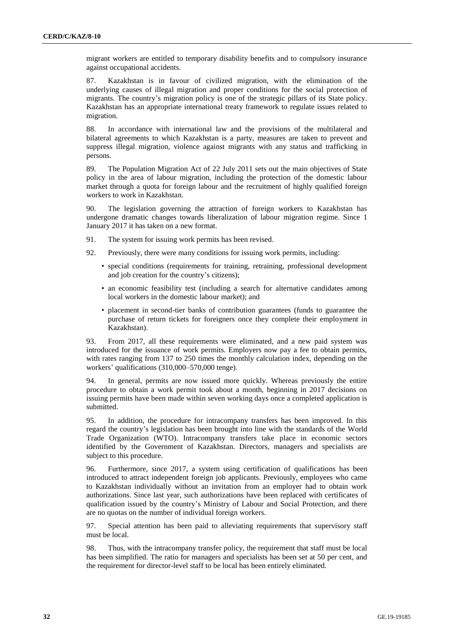migrant workers are entitled to temporary disability benefits and to compulsory insurance against occupational accidents.

87. Kazakhstan is in favour of civilized migration, with the elimination of the underlying causes of illegal migration and proper conditions for the social protection of migrants. The country's migration policy is one of the strategic pillars of its State policy. Kazakhstan has an appropriate international treaty framework to regulate issues related to migration.

88. In accordance with international law and the provisions of the multilateral and bilateral agreements to which Kazakhstan is a party, measures are taken to prevent and suppress illegal migration, violence against migrants with any status and trafficking in persons.

89. The Population Migration Act of 22 July 2011 sets out the main objectives of State policy in the area of labour migration, including the protection of the domestic labour market through a quota for foreign labour and the recruitment of highly qualified foreign workers to work in Kazakhstan.

90. The legislation governing the attraction of foreign workers to Kazakhstan has undergone dramatic changes towards liberalization of labour migration regime. Since 1 January 2017 it has taken on a new format.

- 91. The system for issuing work permits has been revised.
- 92. Previously, there were many conditions for issuing work permits, including:
	- special conditions (requirements for training, retraining, professional development and job creation for the country's citizens);
	- an economic feasibility test (including a search for alternative candidates among local workers in the domestic labour market); and
	- placement in second-tier banks of contribution guarantees (funds to guarantee the purchase of return tickets for foreigners once they complete their employment in Kazakhstan).

93. From 2017, all these requirements were eliminated, and a new paid system was introduced for the issuance of work permits. Employers now pay a fee to obtain permits, with rates ranging from 137 to 250 times the monthly calculation index, depending on the workers' qualifications (310,000–570,000 tenge).

94. In general, permits are now issued more quickly. Whereas previously the entire procedure to obtain a work permit took about a month, beginning in 2017 decisions on issuing permits have been made within seven working days once a completed application is submitted.

95. In addition, the procedure for intracompany transfers has been improved. In this regard the country's legislation has been brought into line with the standards of the World Trade Organization (WTO). Intracompany transfers take place in economic sectors identified by the Government of Kazakhstan. Directors, managers and specialists are subject to this procedure.

96. Furthermore, since 2017, a system using certification of qualifications has been introduced to attract independent foreign job applicants. Previously, employees who came to Kazakhstan individually without an invitation from an employer had to obtain work authorizations. Since last year, such authorizations have been replaced with certificates of qualification issued by the country's Ministry of Labour and Social Protection, and there are no quotas on the number of individual foreign workers.

97. Special attention has been paid to alleviating requirements that supervisory staff must be local.

98. Thus, with the intracompany transfer policy, the requirement that staff must be local has been simplified. The ratio for managers and specialists has been set at 50 per cent, and the requirement for director-level staff to be local has been entirely eliminated.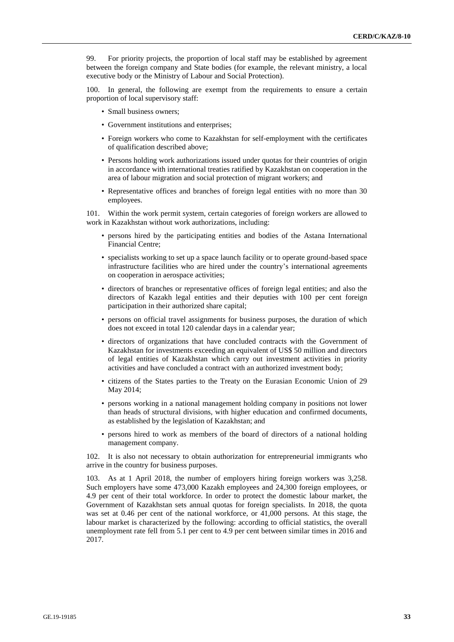99. For priority projects, the proportion of local staff may be established by agreement between the foreign company and State bodies (for example, the relevant ministry, a local executive body or the Ministry of Labour and Social Protection).

100. In general, the following are exempt from the requirements to ensure a certain proportion of local supervisory staff:

- Small business owners;
- Government institutions and enterprises;
- Foreign workers who come to Kazakhstan for self-employment with the certificates of qualification described above;
- Persons holding work authorizations issued under quotas for their countries of origin in accordance with international treaties ratified by Kazakhstan on cooperation in the area of labour migration and social protection of migrant workers; and
- Representative offices and branches of foreign legal entities with no more than 30 employees.

101. Within the work permit system, certain categories of foreign workers are allowed to work in Kazakhstan without work authorizations, including:

- persons hired by the participating entities and bodies of the Astana International Financial Centre;
- specialists working to set up a space launch facility or to operate ground-based space infrastructure facilities who are hired under the country's international agreements on cooperation in aerospace activities;
- directors of branches or representative offices of foreign legal entities; and also the directors of Kazakh legal entities and their deputies with 100 per cent foreign participation in their authorized share capital;
- persons on official travel assignments for business purposes, the duration of which does not exceed in total 120 calendar days in a calendar year;
- directors of organizations that have concluded contracts with the Government of Kazakhstan for investments exceeding an equivalent of US\$ 50 million and directors of legal entities of Kazakhstan which carry out investment activities in priority activities and have concluded a contract with an authorized investment body;
- citizens of the States parties to the Treaty on the Eurasian Economic Union of 29 May 2014;
- persons working in a national management holding company in positions not lower than heads of structural divisions, with higher education and confirmed documents, as established by the legislation of Kazakhstan; and
- persons hired to work as members of the board of directors of a national holding management company.

102. It is also not necessary to obtain authorization for entrepreneurial immigrants who arrive in the country for business purposes.

103. As at 1 April 2018, the number of employers hiring foreign workers was 3,258. Such employers have some 473,000 Kazakh employees and 24,300 foreign employees, or 4.9 per cent of their total workforce. In order to protect the domestic labour market, the Government of Kazakhstan sets annual quotas for foreign specialists. In 2018, the quota was set at 0.46 per cent of the national workforce, or 41,000 persons. At this stage, the labour market is characterized by the following: according to official statistics, the overall unemployment rate fell from 5.1 per cent to 4.9 per cent between similar times in 2016 and 2017.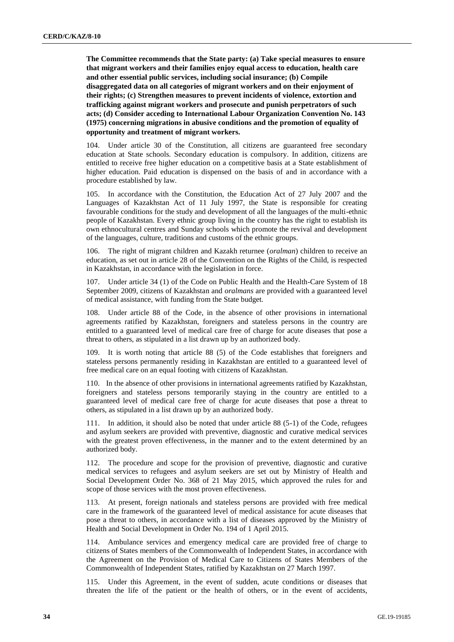**The Committee recommends that the State party: (a) Take special measures to ensure that migrant workers and their families enjoy equal access to education, health care and other essential public services, including social insurance; (b) Compile disaggregated data on all categories of migrant workers and on their enjoyment of their rights; (c) Strengthen measures to prevent incidents of violence, extortion and trafficking against migrant workers and prosecute and punish perpetrators of such acts; (d) Consider acceding to International Labour Organization Convention No. 143 (1975) concerning migrations in abusive conditions and the promotion of equality of opportunity and treatment of migrant workers.**

104. Under article 30 of the Constitution, all citizens are guaranteed free secondary education at State schools. Secondary education is compulsory. In addition, citizens are entitled to receive free higher education on a competitive basis at a State establishment of higher education. Paid education is dispensed on the basis of and in accordance with a procedure established by law.

105. In accordance with the Constitution, the Education Act of 27 July 2007 and the Languages of Kazakhstan Act of 11 July 1997, the State is responsible for creating favourable conditions for the study and development of all the languages of the multi-ethnic people of Kazakhstan. Every ethnic group living in the country has the right to establish its own ethnocultural centres and Sunday schools which promote the revival and development of the languages, culture, traditions and customs of the ethnic groups.

106. The right of migrant children and Kazakh returnee (*oralman*) children to receive an education, as set out in article 28 of the Convention on the Rights of the Child, is respected in Kazakhstan, in accordance with the legislation in force.

Under article 34 (1) of the Code on Public Health and the Health-Care System of 18 September 2009, citizens of Kazakhstan and *oralmans* are provided with a guaranteed level of medical assistance, with funding from the State budget.

108. Under article 88 of the Code, in the absence of other provisions in international agreements ratified by Kazakhstan, foreigners and stateless persons in the country are entitled to a guaranteed level of medical care free of charge for acute diseases that pose a threat to others, as stipulated in a list drawn up by an authorized body.

109. It is worth noting that article 88 (5) of the Code establishes that foreigners and stateless persons permanently residing in Kazakhstan are entitled to a guaranteed level of free medical care on an equal footing with citizens of Kazakhstan.

110. In the absence of other provisions in international agreements ratified by Kazakhstan, foreigners and stateless persons temporarily staying in the country are entitled to a guaranteed level of medical care free of charge for acute diseases that pose a threat to others, as stipulated in a list drawn up by an authorized body.

111. In addition, it should also be noted that under article 88 (5-1) of the Code, refugees and asylum seekers are provided with preventive, diagnostic and curative medical services with the greatest proven effectiveness, in the manner and to the extent determined by an authorized body.

112. The procedure and scope for the provision of preventive, diagnostic and curative medical services to refugees and asylum seekers are set out by Ministry of Health and Social Development Order No. 368 of 21 May 2015, which approved the rules for and scope of those services with the most proven effectiveness.

113. At present, foreign nationals and stateless persons are provided with free medical care in the framework of the guaranteed level of medical assistance for acute diseases that pose a threat to others, in accordance with a list of diseases approved by the Ministry of Health and Social Development in Order No. 194 of 1 April 2015.

114. Ambulance services and emergency medical care are provided free of charge to citizens of States members of the Commonwealth of Independent States, in accordance with the Agreement on the Provision of Medical Care to Citizens of States Members of the Commonwealth of Independent States, ratified by Kazakhstan on 27 March 1997.

115. Under this Agreement, in the event of sudden, acute conditions or diseases that threaten the life of the patient or the health of others, or in the event of accidents,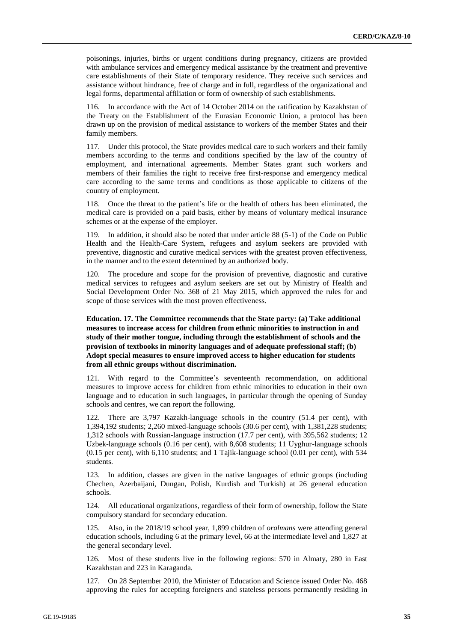poisonings, injuries, births or urgent conditions during pregnancy, citizens are provided with ambulance services and emergency medical assistance by the treatment and preventive care establishments of their State of temporary residence. They receive such services and assistance without hindrance, free of charge and in full, regardless of the organizational and legal forms, departmental affiliation or form of ownership of such establishments.

116. In accordance with the Act of 14 October 2014 on the ratification by Kazakhstan of the Treaty on the Establishment of the Eurasian Economic Union, a protocol has been drawn up on the provision of medical assistance to workers of the member States and their family members.

117. Under this protocol, the State provides medical care to such workers and their family members according to the terms and conditions specified by the law of the country of employment, and international agreements. Member States grant such workers and members of their families the right to receive free first-response and emergency medical care according to the same terms and conditions as those applicable to citizens of the country of employment.

118. Once the threat to the patient's life or the health of others has been eliminated, the medical care is provided on a paid basis, either by means of voluntary medical insurance schemes or at the expense of the employer.

119. In addition, it should also be noted that under article 88 (5-1) of the Code on Public Health and the Health-Care System, refugees and asylum seekers are provided with preventive, diagnostic and curative medical services with the greatest proven effectiveness, in the manner and to the extent determined by an authorized body.

120. The procedure and scope for the provision of preventive, diagnostic and curative medical services to refugees and asylum seekers are set out by Ministry of Health and Social Development Order No. 368 of 21 May 2015, which approved the rules for and scope of those services with the most proven effectiveness.

**Education. 17. The Committee recommends that the State party: (a) Take additional measures to increase access for children from ethnic minorities to instruction in and study of their mother tongue, including through the establishment of schools and the provision of textbooks in minority languages and of adequate professional staff; (b) Adopt special measures to ensure improved access to higher education for students from all ethnic groups without discrimination.**

121. With regard to the Committee's seventeenth recommendation, on additional measures to improve access for children from ethnic minorities to education in their own language and to education in such languages, in particular through the opening of Sunday schools and centres, we can report the following.

122. There are 3,797 Kazakh-language schools in the country (51.4 per cent), with 1,394,192 students; 2,260 mixed-language schools (30.6 per cent), with 1,381,228 students; 1,312 schools with Russian-language instruction (17.7 per cent), with 395,562 students; 12 Uzbek-language schools (0.16 per cent), with 8,608 students; 11 Uyghur-language schools (0.15 per cent), with 6,110 students; and 1 Tajik-language school (0.01 per cent), with 534 students.

123. In addition, classes are given in the native languages of ethnic groups (including Chechen, Azerbaijani, Dungan, Polish, Kurdish and Turkish) at 26 general education schools.

124. All educational organizations, regardless of their form of ownership, follow the State compulsory standard for secondary education.

125. Also, in the 2018/19 school year, 1,899 children of *oralmans* were attending general education schools, including 6 at the primary level, 66 at the intermediate level and 1,827 at the general secondary level.

126. Most of these students live in the following regions: 570 in Almaty, 280 in East Kazakhstan and 223 in Karaganda.

127. On 28 September 2010, the Minister of Education and Science issued Order No. 468 approving the rules for accepting foreigners and stateless persons permanently residing in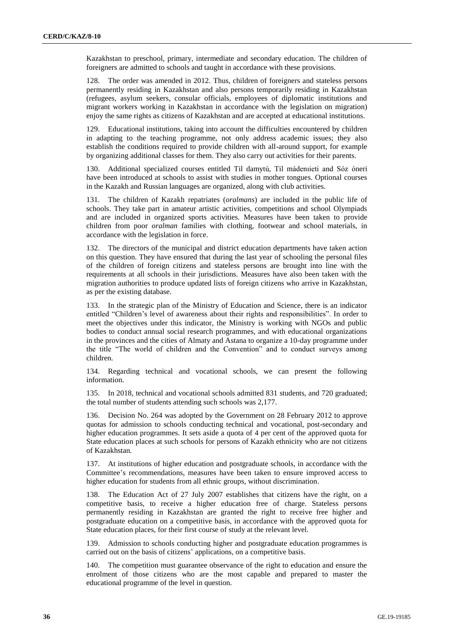Kazakhstan to preschool, primary, intermediate and secondary education. The children of foreigners are admitted to schools and taught in accordance with these provisions.

128. The order was amended in 2012. Thus, children of foreigners and stateless persons permanently residing in Kazakhstan and also persons temporarily residing in Kazakhstan (refugees, asylum seekers, consular officials, employees of diplomatic institutions and migrant workers working in Kazakhstan in accordance with the legislation on migration) enjoy the same rights as citizens of Kazakhstan and are accepted at educational institutions.

129. Educational institutions, taking into account the difficulties encountered by children in adapting to the teaching programme, not only address academic issues; they also establish the conditions required to provide children with all-around support, for example by organizing additional classes for them. They also carry out activities for their parents.

130. Additional specialized courses entitled Til damytú, Til mádenıieti and Sóz óneri have been introduced at schools to assist with studies in mother tongues. Optional courses in the Kazakh and Russian languages are organized, along with club activities.

131. The children of Kazakh repatriates (*oralmans*) are included in the public life of schools. They take part in amateur artistic activities, competitions and school Olympiads and are included in organized sports activities. Measures have been taken to provide children from poor *oralman* families with clothing, footwear and school materials, in accordance with the legislation in force.

The directors of the municipal and district education departments have taken action on this question. They have ensured that during the last year of schooling the personal files of the children of foreign citizens and stateless persons are brought into line with the requirements at all schools in their jurisdictions. Measures have also been taken with the migration authorities to produce updated lists of foreign citizens who arrive in Kazakhstan, as per the existing database.

133. In the strategic plan of the Ministry of Education and Science, there is an indicator entitled "Children's level of awareness about their rights and responsibilities". In order to meet the objectives under this indicator, the Ministry is working with NGOs and public bodies to conduct annual social research programmes, and with educational organizations in the provinces and the cities of Almaty and Astana to organize a 10-day programme under the title "The world of children and the Convention" and to conduct surveys among children.

134. Regarding technical and vocational schools, we can present the following information.

135. In 2018, technical and vocational schools admitted 831 students, and 720 graduated; the total number of students attending such schools was 2,177.

136. Decision No. 264 was adopted by the Government on 28 February 2012 to approve quotas for admission to schools conducting technical and vocational, post-secondary and higher education programmes. It sets aside a quota of 4 per cent of the approved quota for State education places at such schools for persons of Kazakh ethnicity who are not citizens of Kazakhstan.

137. At institutions of higher education and postgraduate schools, in accordance with the Committee's recommendations, measures have been taken to ensure improved access to higher education for students from all ethnic groups, without discrimination.

138. The Education Act of 27 July 2007 establishes that citizens have the right, on a competitive basis, to receive a higher education free of charge. Stateless persons permanently residing in Kazakhstan are granted the right to receive free higher and postgraduate education on a competitive basis, in accordance with the approved quota for State education places, for their first course of study at the relevant level.

139. Admission to schools conducting higher and postgraduate education programmes is carried out on the basis of citizens' applications, on a competitive basis.

140. The competition must guarantee observance of the right to education and ensure the enrolment of those citizens who are the most capable and prepared to master the educational programme of the level in question.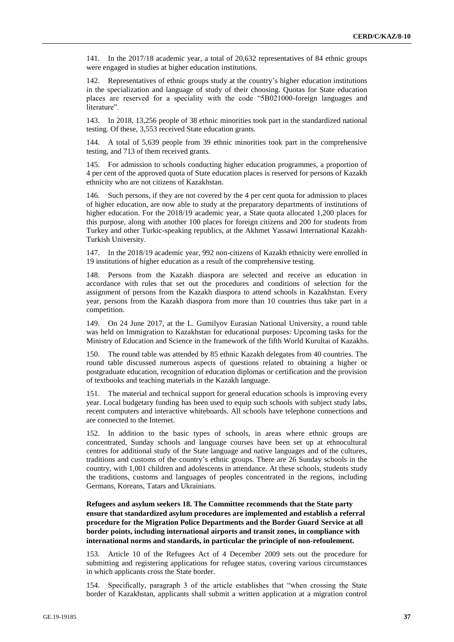141. In the 2017/18 academic year, a total of 20,632 representatives of 84 ethnic groups were engaged in studies at higher education institutions.

Representatives of ethnic groups study at the country's higher education institutions in the specialization and language of study of their choosing. Quotas for State education places are reserved for a speciality with the code "5B021000-foreign languages and literature".

143. In 2018, 13,256 people of 38 ethnic minorities took part in the standardized national testing. Of these, 3,553 received State education grants.

144. A total of 5,639 people from 39 ethnic minorities took part in the comprehensive testing, and 713 of them received grants.

145. For admission to schools conducting higher education programmes, a proportion of 4 per cent of the approved quota of State education places is reserved for persons of Kazakh ethnicity who are not citizens of Kazakhstan.

146. Such persons, if they are not covered by the 4 per cent quota for admission to places of higher education, are now able to study at the preparatory departments of institutions of higher education. For the 2018/19 academic year, a State quota allocated 1,200 places for this purpose, along with another 100 places for foreign citizens and 200 for students from Turkey and other Turkic-speaking republics, at the Akhmet Yassawi International Kazakh-Turkish University.

147. In the 2018/19 academic year, 992 non-citizens of Kazakh ethnicity were enrolled in 19 institutions of higher education as a result of the comprehensive testing.

148. Persons from the Kazakh diaspora are selected and receive an education in accordance with rules that set out the procedures and conditions of selection for the assignment of persons from the Kazakh diaspora to attend schools in Kazakhstan. Every year, persons from the Kazakh diaspora from more than 10 countries thus take part in a competition.

149. On 24 June 2017, at the L. Gumilyov Eurasian National University, a round table was held on Immigration to Kazakhstan for educational purposes: Upcoming tasks for the Ministry of Education and Science in the framework of the fifth World Kurultai of Kazakhs.

150. The round table was attended by 85 ethnic Kazakh delegates from 40 countries. The round table discussed numerous aspects of questions related to obtaining a higher or postgraduate education, recognition of education diplomas or certification and the provision of textbooks and teaching materials in the Kazakh language.

151. The material and technical support for general education schools is improving every year. Local budgetary funding has been used to equip such schools with subject study labs, recent computers and interactive whiteboards. All schools have telephone connections and are connected to the Internet.

152. In addition to the basic types of schools, in areas where ethnic groups are concentrated, Sunday schools and language courses have been set up at ethnocultural centres for additional study of the State language and native languages and of the cultures, traditions and customs of the country's ethnic groups. There are 26 Sunday schools in the country, with 1,001 children and adolescents in attendance. At these schools, students study the traditions, customs and languages of peoples concentrated in the regions, including Germans, Koreans, Tatars and Ukrainians.

**Refugees and asylum seekers 18. The Committee recommends that the State party ensure that standardized asylum procedures are implemented and establish a referral procedure for the Migration Police Departments and the Border Guard Service at all border points, including international airports and transit zones, in compliance with international norms and standards, in particular the principle of non-refoulement.**

Article 10 of the Refugees Act of 4 December 2009 sets out the procedure for submitting and registering applications for refugee status, covering various circumstances in which applicants cross the State border.

154. Specifically, paragraph 3 of the article establishes that "when crossing the State border of Kazakhstan, applicants shall submit a written application at a migration control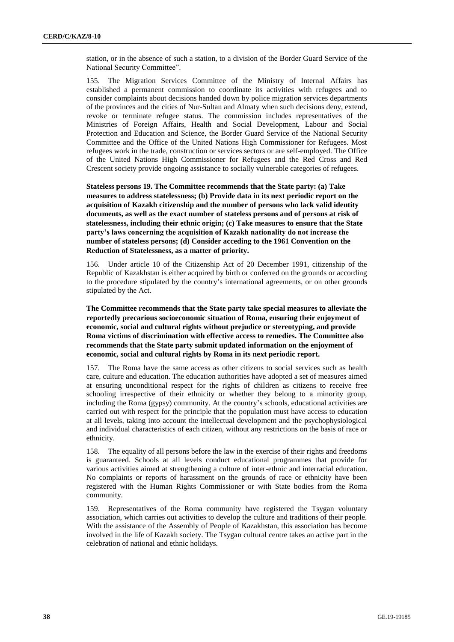station, or in the absence of such a station, to a division of the Border Guard Service of the National Security Committee".

155. The Migration Services Committee of the Ministry of Internal Affairs has established a permanent commission to coordinate its activities with refugees and to consider complaints about decisions handed down by police migration services departments of the provinces and the cities of Nur-Sultan and Almaty when such decisions deny, extend, revoke or terminate refugee status. The commission includes representatives of the Ministries of Foreign Affairs, Health and Social Development, Labour and Social Protection and Education and Science, the Border Guard Service of the National Security Committee and the Office of the United Nations High Commissioner for Refugees. Most refugees work in the trade, construction or services sectors or are self-employed. The Office of the United Nations High Commissioner for Refugees and the Red Cross and Red Crescent society provide ongoing assistance to socially vulnerable categories of refugees.

**Stateless persons 19. The Committee recommends that the State party: (a) Take measures to address statelessness; (b) Provide data in its next periodic report on the acquisition of Kazakh citizenship and the number of persons who lack valid identity documents, as well as the exact number of stateless persons and of persons at risk of statelessness, including their ethnic origin; (c) Take measures to ensure that the State party's laws concerning the acquisition of Kazakh nationality do not increase the number of stateless persons; (d) Consider acceding to the 1961 Convention on the Reduction of Statelessness, as a matter of priority.**

156. Under article 10 of the Citizenship Act of 20 December 1991, citizenship of the Republic of Kazakhstan is either acquired by birth or conferred on the grounds or according to the procedure stipulated by the country's international agreements, or on other grounds stipulated by the Act.

**The Committee recommends that the State party take special measures to alleviate the reportedly precarious socioeconomic situation of Roma, ensuring their enjoyment of economic, social and cultural rights without prejudice or stereotyping, and provide Roma victims of discrimination with effective access to remedies. The Committee also recommends that the State party submit updated information on the enjoyment of economic, social and cultural rights by Roma in its next periodic report.** 

157. The Roma have the same access as other citizens to social services such as health care, culture and education. The education authorities have adopted a set of measures aimed at ensuring unconditional respect for the rights of children as citizens to receive free schooling irrespective of their ethnicity or whether they belong to a minority group, including the Roma (gypsy) community. At the country's schools, educational activities are carried out with respect for the principle that the population must have access to education at all levels, taking into account the intellectual development and the psychophysiological and individual characteristics of each citizen, without any restrictions on the basis of race or ethnicity.

158. The equality of all persons before the law in the exercise of their rights and freedoms is guaranteed. Schools at all levels conduct educational programmes that provide for various activities aimed at strengthening a culture of inter-ethnic and interracial education. No complaints or reports of harassment on the grounds of race or ethnicity have been registered with the Human Rights Commissioner or with State bodies from the Roma community.

159. Representatives of the Roma community have registered the Tsygan voluntary association, which carries out activities to develop the culture and traditions of their people. With the assistance of the Assembly of People of Kazakhstan, this association has become involved in the life of Kazakh society. The Tsygan cultural centre takes an active part in the celebration of national and ethnic holidays.